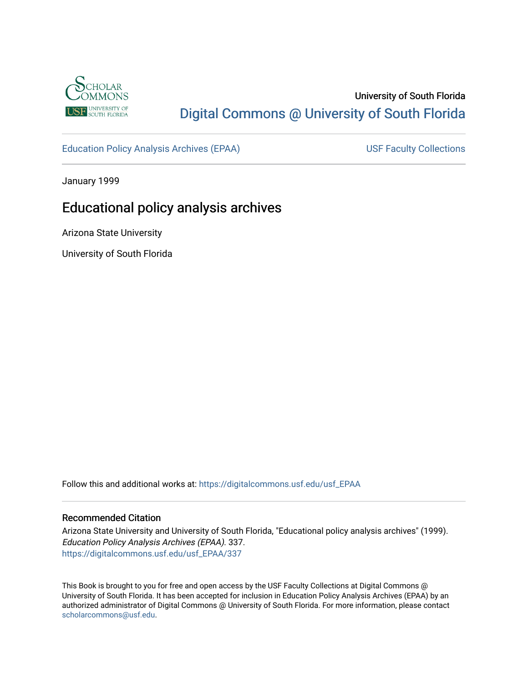

# University of South Florida [Digital Commons @ University of South Florida](https://digitalcommons.usf.edu/)

[Education Policy Analysis Archives \(EPAA\)](https://digitalcommons.usf.edu/usf_EPAA) USF Faculty Collections

January 1999

# Educational policy analysis archives

Arizona State University

University of South Florida

Follow this and additional works at: [https://digitalcommons.usf.edu/usf\\_EPAA](https://digitalcommons.usf.edu/usf_EPAA?utm_source=digitalcommons.usf.edu%2Fusf_EPAA%2F337&utm_medium=PDF&utm_campaign=PDFCoverPages)

#### Recommended Citation

Arizona State University and University of South Florida, "Educational policy analysis archives" (1999). Education Policy Analysis Archives (EPAA). 337. [https://digitalcommons.usf.edu/usf\\_EPAA/337](https://digitalcommons.usf.edu/usf_EPAA/337?utm_source=digitalcommons.usf.edu%2Fusf_EPAA%2F337&utm_medium=PDF&utm_campaign=PDFCoverPages)

This Book is brought to you for free and open access by the USF Faculty Collections at Digital Commons @ University of South Florida. It has been accepted for inclusion in Education Policy Analysis Archives (EPAA) by an authorized administrator of Digital Commons @ University of South Florida. For more information, please contact [scholarcommons@usf.edu.](mailto:scholarcommons@usf.edu)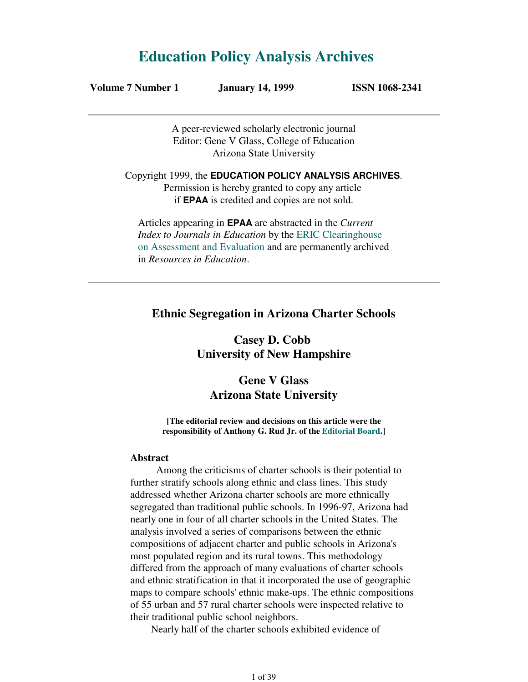# **Education Policy Analysis Archives**

**Volume 7 Number 1 January 14, 1999 ISSN 1068-2341**

A peer-reviewed scholarly electronic journal Editor: Gene V Glass, College of Education Arizona State University

Copyright 1999, the **EDUCATION POLICY ANALYSIS ARCHIVES**. Permission is hereby granted to copy any article if **EPAA** is credited and copies are not sold.

Articles appearing in **EPAA** are abstracted in the *Current Index to Journals in Education* by the ERIC Clearinghouse on Assessment and Evaluation and are permanently archived in *Resources in Education*.

### **Ethnic Segregation in Arizona Charter Schools**

**Casey D. Cobb University of New Hampshire**

## **Gene V Glass Arizona State University**

**[The editorial review and decisions on this article were the responsibility of Anthony G. Rud Jr. of the Editorial Board.]**

#### **Abstract**

 Among the criticisms of charter schools is their potential to further stratify schools along ethnic and class lines. This study addressed whether Arizona charter schools are more ethnically segregated than traditional public schools. In 1996-97, Arizona had nearly one in four of all charter schools in the United States. The analysis involved a series of comparisons between the ethnic compositions of adjacent charter and public schools in Arizona's most populated region and its rural towns. This methodology differed from the approach of many evaluations of charter schools and ethnic stratification in that it incorporated the use of geographic maps to compare schools' ethnic make-ups. The ethnic compositions of 55 urban and 57 rural charter schools were inspected relative to their traditional public school neighbors.

Nearly half of the charter schools exhibited evidence of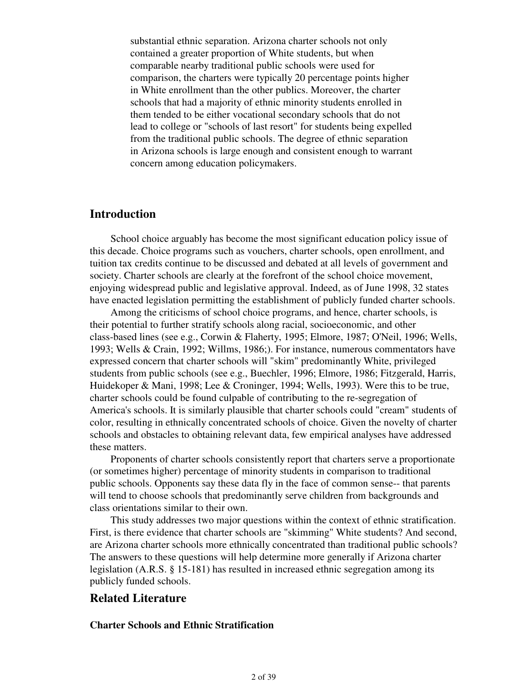substantial ethnic separation. Arizona charter schools not only contained a greater proportion of White students, but when comparable nearby traditional public schools were used for comparison, the charters were typically 20 percentage points higher in White enrollment than the other publics. Moreover, the charter schools that had a majority of ethnic minority students enrolled in them tended to be either vocational secondary schools that do not lead to college or "schools of last resort" for students being expelled from the traditional public schools. The degree of ethnic separation in Arizona schools is large enough and consistent enough to warrant concern among education policymakers.

## **Introduction**

 School choice arguably has become the most significant education policy issue of this decade. Choice programs such as vouchers, charter schools, open enrollment, and tuition tax credits continue to be discussed and debated at all levels of government and society. Charter schools are clearly at the forefront of the school choice movement, enjoying widespread public and legislative approval. Indeed, as of June 1998, 32 states have enacted legislation permitting the establishment of publicly funded charter schools.

 Among the criticisms of school choice programs, and hence, charter schools, is their potential to further stratify schools along racial, socioeconomic, and other class-based lines (see e.g., Corwin & Flaherty, 1995; Elmore, 1987; O'Neil, 1996; Wells, 1993; Wells & Crain, 1992; Willms, 1986;). For instance, numerous commentators have expressed concern that charter schools will "skim" predominantly White, privileged students from public schools (see e.g., Buechler, 1996; Elmore, 1986; Fitzgerald, Harris, Huidekoper & Mani, 1998; Lee & Croninger, 1994; Wells, 1993). Were this to be true, charter schools could be found culpable of contributing to the re-segregation of America's schools. It is similarly plausible that charter schools could "cream" students of color, resulting in ethnically concentrated schools of choice. Given the novelty of charter schools and obstacles to obtaining relevant data, few empirical analyses have addressed these matters.

 Proponents of charter schools consistently report that charters serve a proportionate (or sometimes higher) percentage of minority students in comparison to traditional public schools. Opponents say these data fly in the face of common sense-- that parents will tend to choose schools that predominantly serve children from backgrounds and class orientations similar to their own.

 This study addresses two major questions within the context of ethnic stratification. First, is there evidence that charter schools are "skimming" White students? And second, are Arizona charter schools more ethnically concentrated than traditional public schools? The answers to these questions will help determine more generally if Arizona charter legislation (A.R.S. § 15-181) has resulted in increased ethnic segregation among its publicly funded schools.

### **Related Literature**

#### **Charter Schools and Ethnic Stratification**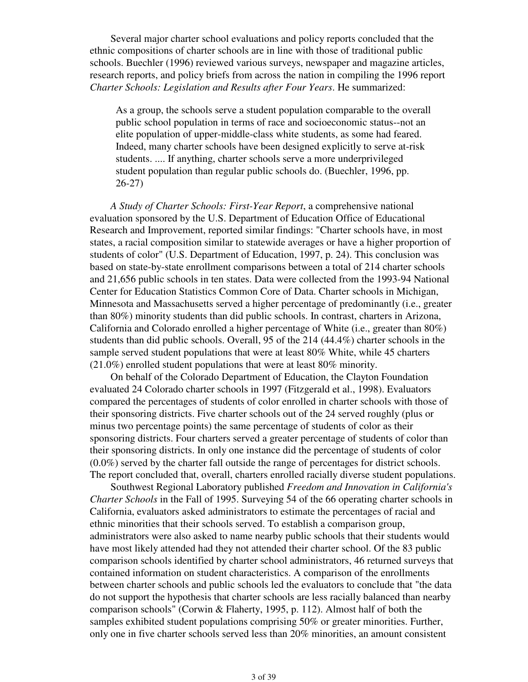Several major charter school evaluations and policy reports concluded that the ethnic compositions of charter schools are in line with those of traditional public schools. Buechler (1996) reviewed various surveys, newspaper and magazine articles, research reports, and policy briefs from across the nation in compiling the 1996 report *Charter Schools: Legislation and Results after Four Years*. He summarized:

As a group, the schools serve a student population comparable to the overall public school population in terms of race and socioeconomic status--not an elite population of upper-middle-class white students, as some had feared. Indeed, many charter schools have been designed explicitly to serve at-risk students. .... If anything, charter schools serve a more underprivileged student population than regular public schools do. (Buechler, 1996, pp. 26-27)

 *A Study of Charter Schools: First-Year Report*, a comprehensive national evaluation sponsored by the U.S. Department of Education Office of Educational Research and Improvement, reported similar findings: "Charter schools have, in most states, a racial composition similar to statewide averages or have a higher proportion of students of color" (U.S. Department of Education, 1997, p. 24). This conclusion was based on state-by-state enrollment comparisons between a total of 214 charter schools and 21,656 public schools in ten states. Data were collected from the 1993-94 National Center for Education Statistics Common Core of Data. Charter schools in Michigan, Minnesota and Massachusetts served a higher percentage of predominantly (i.e., greater than 80%) minority students than did public schools. In contrast, charters in Arizona, California and Colorado enrolled a higher percentage of White (i.e., greater than 80%) students than did public schools. Overall, 95 of the 214 (44.4%) charter schools in the sample served student populations that were at least 80% White, while 45 charters (21.0%) enrolled student populations that were at least 80% minority.

 On behalf of the Colorado Department of Education, the Clayton Foundation evaluated 24 Colorado charter schools in 1997 (Fitzgerald et al., 1998). Evaluators compared the percentages of students of color enrolled in charter schools with those of their sponsoring districts. Five charter schools out of the 24 served roughly (plus or minus two percentage points) the same percentage of students of color as their sponsoring districts. Four charters served a greater percentage of students of color than their sponsoring districts. In only one instance did the percentage of students of color (0.0%) served by the charter fall outside the range of percentages for district schools. The report concluded that, overall, charters enrolled racially diverse student populations.

 Southwest Regional Laboratory published *Freedom and Innovation in California's Charter Schools* in the Fall of 1995. Surveying 54 of the 66 operating charter schools in California, evaluators asked administrators to estimate the percentages of racial and ethnic minorities that their schools served. To establish a comparison group, administrators were also asked to name nearby public schools that their students would have most likely attended had they not attended their charter school. Of the 83 public comparison schools identified by charter school administrators, 46 returned surveys that contained information on student characteristics. A comparison of the enrollments between charter schools and public schools led the evaluators to conclude that "the data do not support the hypothesis that charter schools are less racially balanced than nearby comparison schools" (Corwin & Flaherty, 1995, p. 112). Almost half of both the samples exhibited student populations comprising 50% or greater minorities. Further, only one in five charter schools served less than 20% minorities, an amount consistent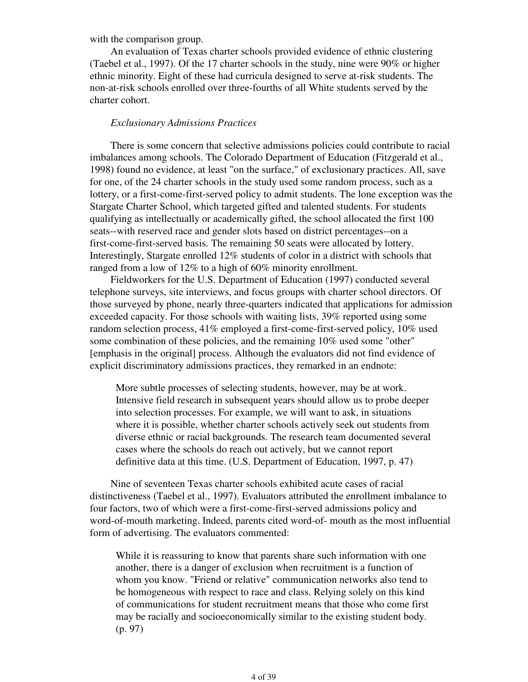with the comparison group.

 An evaluation of Texas charter schools provided evidence of ethnic clustering (Taebel et al., 1997). Of the 17 charter schools in the study, nine were 90% or higher ethnic minority. Eight of these had curricula designed to serve at-risk students. The non-at-risk schools enrolled over three-fourths of all White students served by the charter cohort.

#### *Exclusionary Admissions Practices*

 There is some concern that selective admissions policies could contribute to racial imbalances among schools. The Colorado Department of Education (Fitzgerald et al., 1998) found no evidence, at least "on the surface," of exclusionary practices. All, save for one, of the 24 charter schools in the study used some random process, such as a lottery, or a first-come-first-served policy to admit students. The lone exception was the Stargate Charter School, which targeted gifted and talented students. For students qualifying as intellectually or academically gifted, the school allocated the first 100 seats--with reserved race and gender slots based on district percentages--on a first-come-first-served basis. The remaining 50 seats were allocated by lottery. Interestingly, Stargate enrolled 12% students of color in a district with schools that ranged from a low of 12% to a high of 60% minority enrollment.

 Fieldworkers for the U.S. Department of Education (1997) conducted several telephone surveys, site interviews, and focus groups with charter school directors. Of those surveyed by phone, nearly three-quarters indicated that applications for admission exceeded capacity. For those schools with waiting lists, 39% reported using some random selection process, 41% employed a first-come-first-served policy, 10% used some combination of these policies, and the remaining 10% used some "other" [emphasis in the original] process. Although the evaluators did not find evidence of explicit discriminatory admissions practices, they remarked in an endnote:

More subtle processes of selecting students, however, may be at work. Intensive field research in subsequent years should allow us to probe deeper into selection processes. For example, we will want to ask, in situations where it is possible, whether charter schools actively seek out students from diverse ethnic or racial backgrounds. The research team documented several cases where the schools do reach out actively, but we cannot report definitive data at this time. (U.S. Department of Education, 1997, p. 47)

 Nine of seventeen Texas charter schools exhibited acute cases of racial distinctiveness (Taebel et al., 1997). Evaluators attributed the enrollment imbalance to four factors, two of which were a first-come-first-served admissions policy and word-of-mouth marketing. Indeed, parents cited word-of- mouth as the most influential form of advertising. The evaluators commented:

While it is reassuring to know that parents share such information with one another, there is a danger of exclusion when recruitment is a function of whom you know. "Friend or relative" communication networks also tend to be homogeneous with respect to race and class. Relying solely on this kind of communications for student recruitment means that those who come first may be racially and socioeconomically similar to the existing student body. (p. 97)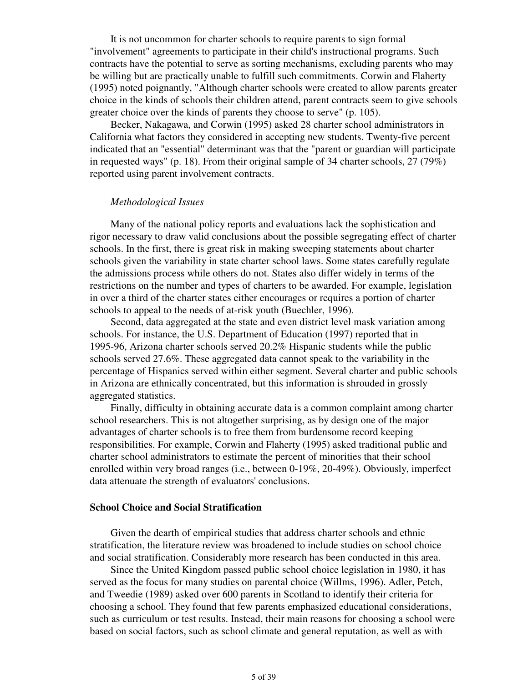It is not uncommon for charter schools to require parents to sign formal "involvement" agreements to participate in their child's instructional programs. Such contracts have the potential to serve as sorting mechanisms, excluding parents who may be willing but are practically unable to fulfill such commitments. Corwin and Flaherty (1995) noted poignantly, "Although charter schools were created to allow parents greater choice in the kinds of schools their children attend, parent contracts seem to give schools greater choice over the kinds of parents they choose to serve" (p. 105).

 Becker, Nakagawa, and Corwin (1995) asked 28 charter school administrators in California what factors they considered in accepting new students. Twenty-five percent indicated that an "essential" determinant was that the "parent or guardian will participate in requested ways" (p. 18). From their original sample of 34 charter schools, 27 (79%) reported using parent involvement contracts.

#### *Methodological Issues*

 Many of the national policy reports and evaluations lack the sophistication and rigor necessary to draw valid conclusions about the possible segregating effect of charter schools. In the first, there is great risk in making sweeping statements about charter schools given the variability in state charter school laws. Some states carefully regulate the admissions process while others do not. States also differ widely in terms of the restrictions on the number and types of charters to be awarded. For example, legislation in over a third of the charter states either encourages or requires a portion of charter schools to appeal to the needs of at-risk youth (Buechler, 1996).

 Second, data aggregated at the state and even district level mask variation among schools. For instance, the U.S. Department of Education (1997) reported that in 1995-96, Arizona charter schools served 20.2% Hispanic students while the public schools served 27.6%. These aggregated data cannot speak to the variability in the percentage of Hispanics served within either segment. Several charter and public schools in Arizona are ethnically concentrated, but this information is shrouded in grossly aggregated statistics.

 Finally, difficulty in obtaining accurate data is a common complaint among charter school researchers. This is not altogether surprising, as by design one of the major advantages of charter schools is to free them from burdensome record keeping responsibilities. For example, Corwin and Flaherty (1995) asked traditional public and charter school administrators to estimate the percent of minorities that their school enrolled within very broad ranges (i.e., between 0-19%, 20-49%). Obviously, imperfect data attenuate the strength of evaluators' conclusions.

#### **School Choice and Social Stratification**

 Given the dearth of empirical studies that address charter schools and ethnic stratification, the literature review was broadened to include studies on school choice and social stratification. Considerably more research has been conducted in this area.

 Since the United Kingdom passed public school choice legislation in 1980, it has served as the focus for many studies on parental choice (Willms, 1996). Adler, Petch, and Tweedie (1989) asked over 600 parents in Scotland to identify their criteria for choosing a school. They found that few parents emphasized educational considerations, such as curriculum or test results. Instead, their main reasons for choosing a school were based on social factors, such as school climate and general reputation, as well as with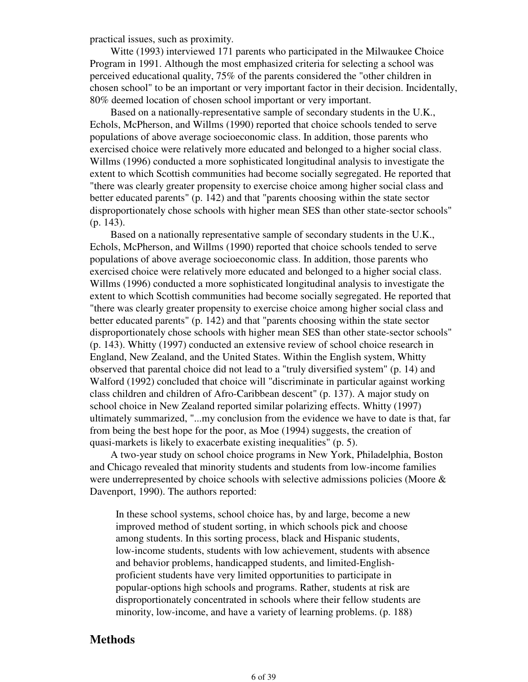practical issues, such as proximity.

 Witte (1993) interviewed 171 parents who participated in the Milwaukee Choice Program in 1991. Although the most emphasized criteria for selecting a school was perceived educational quality, 75% of the parents considered the "other children in chosen school" to be an important or very important factor in their decision. Incidentally, 80% deemed location of chosen school important or very important.

 Based on a nationally-representative sample of secondary students in the U.K., Echols, McPherson, and Willms (1990) reported that choice schools tended to serve populations of above average socioeconomic class. In addition, those parents who exercised choice were relatively more educated and belonged to a higher social class. Willms (1996) conducted a more sophisticated longitudinal analysis to investigate the extent to which Scottish communities had become socially segregated. He reported that "there was clearly greater propensity to exercise choice among higher social class and better educated parents" (p. 142) and that "parents choosing within the state sector disproportionately chose schools with higher mean SES than other state-sector schools" (p. 143).

 Based on a nationally representative sample of secondary students in the U.K., Echols, McPherson, and Willms (1990) reported that choice schools tended to serve populations of above average socioeconomic class. In addition, those parents who exercised choice were relatively more educated and belonged to a higher social class. Willms (1996) conducted a more sophisticated longitudinal analysis to investigate the extent to which Scottish communities had become socially segregated. He reported that "there was clearly greater propensity to exercise choice among higher social class and better educated parents" (p. 142) and that "parents choosing within the state sector disproportionately chose schools with higher mean SES than other state-sector schools" (p. 143). Whitty (1997) conducted an extensive review of school choice research in England, New Zealand, and the United States. Within the English system, Whitty observed that parental choice did not lead to a "truly diversified system" (p. 14) and Walford (1992) concluded that choice will "discriminate in particular against working class children and children of Afro-Caribbean descent" (p. 137). A major study on school choice in New Zealand reported similar polarizing effects. Whitty (1997) ultimately summarized, "...my conclusion from the evidence we have to date is that, far from being the best hope for the poor, as Moe (1994) suggests, the creation of quasi-markets is likely to exacerbate existing inequalities" (p. 5).

 A two-year study on school choice programs in New York, Philadelphia, Boston and Chicago revealed that minority students and students from low-income families were underrepresented by choice schools with selective admissions policies (Moore & Davenport, 1990). The authors reported:

In these school systems, school choice has, by and large, become a new improved method of student sorting, in which schools pick and choose among students. In this sorting process, black and Hispanic students, low-income students, students with low achievement, students with absence and behavior problems, handicapped students, and limited-Englishproficient students have very limited opportunities to participate in popular-options high schools and programs. Rather, students at risk are disproportionately concentrated in schools where their fellow students are minority, low-income, and have a variety of learning problems. (p. 188)

#### **Methods**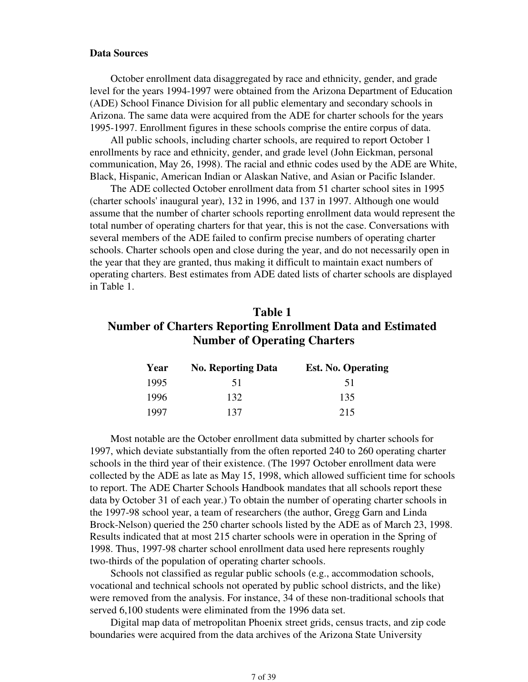#### **Data Sources**

 October enrollment data disaggregated by race and ethnicity, gender, and grade level for the years 1994-1997 were obtained from the Arizona Department of Education (ADE) School Finance Division for all public elementary and secondary schools in Arizona. The same data were acquired from the ADE for charter schools for the years 1995-1997. Enrollment figures in these schools comprise the entire corpus of data.

 All public schools, including charter schools, are required to report October 1 enrollments by race and ethnicity, gender, and grade level (John Eickman, personal communication, May 26, 1998). The racial and ethnic codes used by the ADE are White, Black, Hispanic, American Indian or Alaskan Native, and Asian or Pacific Islander.

 The ADE collected October enrollment data from 51 charter school sites in 1995 (charter schools' inaugural year), 132 in 1996, and 137 in 1997. Although one would assume that the number of charter schools reporting enrollment data would represent the total number of operating charters for that year, this is not the case. Conversations with several members of the ADE failed to confirm precise numbers of operating charter schools. Charter schools open and close during the year, and do not necessarily open in the year that they are granted, thus making it difficult to maintain exact numbers of operating charters. Best estimates from ADE dated lists of charter schools are displayed in Table 1.

## **Table 1 Number of Charters Reporting Enrollment Data and Estimated Number of Operating Charters**

| Year | <b>No. Reporting Data</b> | <b>Est. No. Operating</b> |
|------|---------------------------|---------------------------|
| 1995 | 51                        | 51                        |
| 1996 | 132                       | 135                       |
| 1997 | 137                       | 215                       |

 Most notable are the October enrollment data submitted by charter schools for 1997, which deviate substantially from the often reported 240 to 260 operating charter schools in the third year of their existence. (The 1997 October enrollment data were collected by the ADE as late as May 15, 1998, which allowed sufficient time for schools to report. The ADE Charter Schools Handbook mandates that all schools report these data by October 31 of each year.) To obtain the number of operating charter schools in the 1997-98 school year, a team of researchers (the author, Gregg Garn and Linda Brock-Nelson) queried the 250 charter schools listed by the ADE as of March 23, 1998. Results indicated that at most 215 charter schools were in operation in the Spring of 1998. Thus, 1997-98 charter school enrollment data used here represents roughly two-thirds of the population of operating charter schools.

 Schools not classified as regular public schools (e.g., accommodation schools, vocational and technical schools not operated by public school districts, and the like) were removed from the analysis. For instance, 34 of these non-traditional schools that served 6,100 students were eliminated from the 1996 data set.

 Digital map data of metropolitan Phoenix street grids, census tracts, and zip code boundaries were acquired from the data archives of the Arizona State University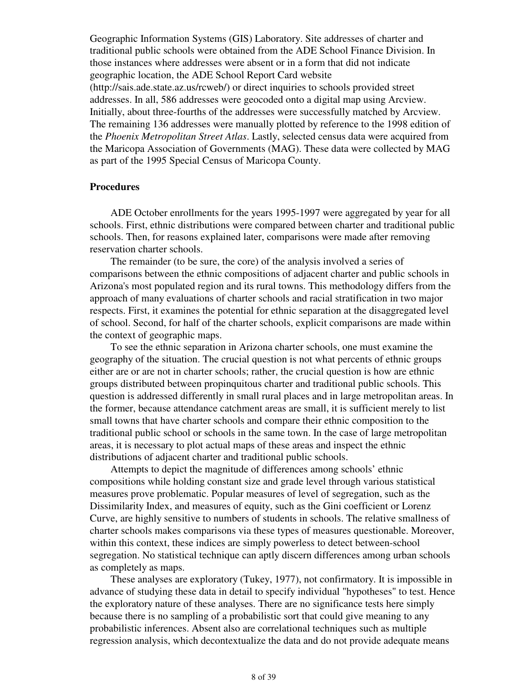Geographic Information Systems (GIS) Laboratory. Site addresses of charter and traditional public schools were obtained from the ADE School Finance Division. In those instances where addresses were absent or in a form that did not indicate geographic location, the ADE School Report Card website (http://sais.ade.state.az.us/rcweb/) or direct inquiries to schools provided street addresses. In all, 586 addresses were geocoded onto a digital map using Arcview. Initially, about three-fourths of the addresses were successfully matched by Arcview. The remaining 136 addresses were manually plotted by reference to the 1998 edition of the *Phoenix Metropolitan Street Atlas*. Lastly, selected census data were acquired from the Maricopa Association of Governments (MAG). These data were collected by MAG as part of the 1995 Special Census of Maricopa County.

#### **Procedures**

 ADE October enrollments for the years 1995-1997 were aggregated by year for all schools. First, ethnic distributions were compared between charter and traditional public schools. Then, for reasons explained later, comparisons were made after removing reservation charter schools.

 The remainder (to be sure, the core) of the analysis involved a series of comparisons between the ethnic compositions of adjacent charter and public schools in Arizona's most populated region and its rural towns. This methodology differs from the approach of many evaluations of charter schools and racial stratification in two major respects. First, it examines the potential for ethnic separation at the disaggregated level of school. Second, for half of the charter schools, explicit comparisons are made within the context of geographic maps.

 To see the ethnic separation in Arizona charter schools, one must examine the geography of the situation. The crucial question is not what percents of ethnic groups either are or are not in charter schools; rather, the crucial question is how are ethnic groups distributed between propinquitous charter and traditional public schools. This question is addressed differently in small rural places and in large metropolitan areas. In the former, because attendance catchment areas are small, it is sufficient merely to list small towns that have charter schools and compare their ethnic composition to the traditional public school or schools in the same town. In the case of large metropolitan areas, it is necessary to plot actual maps of these areas and inspect the ethnic distributions of adjacent charter and traditional public schools.

 Attempts to depict the magnitude of differences among schools' ethnic compositions while holding constant size and grade level through various statistical measures prove problematic. Popular measures of level of segregation, such as the Dissimilarity Index, and measures of equity, such as the Gini coefficient or Lorenz Curve, are highly sensitive to numbers of students in schools. The relative smallness of charter schools makes comparisons via these types of measures questionable. Moreover, within this context, these indices are simply powerless to detect between-school segregation. No statistical technique can aptly discern differences among urban schools as completely as maps.

 These analyses are exploratory (Tukey, 1977), not confirmatory. It is impossible in advance of studying these data in detail to specify individual "hypotheses" to test. Hence the exploratory nature of these analyses. There are no significance tests here simply because there is no sampling of a probabilistic sort that could give meaning to any probabilistic inferences. Absent also are correlational techniques such as multiple regression analysis, which decontextualize the data and do not provide adequate means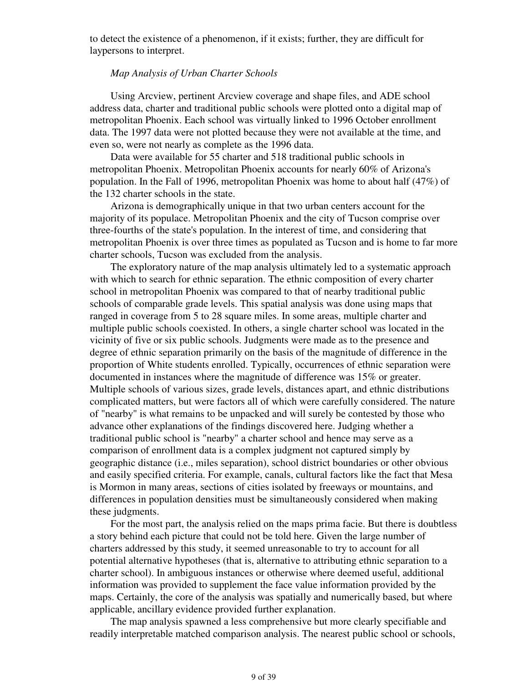to detect the existence of a phenomenon, if it exists; further, they are difficult for laypersons to interpret.

#### *Map Analysis of Urban Charter Schools*

 Using Arcview, pertinent Arcview coverage and shape files, and ADE school address data, charter and traditional public schools were plotted onto a digital map of metropolitan Phoenix. Each school was virtually linked to 1996 October enrollment data. The 1997 data were not plotted because they were not available at the time, and even so, were not nearly as complete as the 1996 data.

 Data were available for 55 charter and 518 traditional public schools in metropolitan Phoenix. Metropolitan Phoenix accounts for nearly 60% of Arizona's population. In the Fall of 1996, metropolitan Phoenix was home to about half (47%) of the 132 charter schools in the state.

 Arizona is demographically unique in that two urban centers account for the majority of its populace. Metropolitan Phoenix and the city of Tucson comprise over three-fourths of the state's population. In the interest of time, and considering that metropolitan Phoenix is over three times as populated as Tucson and is home to far more charter schools, Tucson was excluded from the analysis.

 The exploratory nature of the map analysis ultimately led to a systematic approach with which to search for ethnic separation. The ethnic composition of every charter school in metropolitan Phoenix was compared to that of nearby traditional public schools of comparable grade levels. This spatial analysis was done using maps that ranged in coverage from 5 to 28 square miles. In some areas, multiple charter and multiple public schools coexisted. In others, a single charter school was located in the vicinity of five or six public schools. Judgments were made as to the presence and degree of ethnic separation primarily on the basis of the magnitude of difference in the proportion of White students enrolled. Typically, occurrences of ethnic separation were documented in instances where the magnitude of difference was 15% or greater. Multiple schools of various sizes, grade levels, distances apart, and ethnic distributions complicated matters, but were factors all of which were carefully considered. The nature of "nearby" is what remains to be unpacked and will surely be contested by those who advance other explanations of the findings discovered here. Judging whether a traditional public school is "nearby" a charter school and hence may serve as a comparison of enrollment data is a complex judgment not captured simply by geographic distance (i.e., miles separation), school district boundaries or other obvious and easily specified criteria. For example, canals, cultural factors like the fact that Mesa is Mormon in many areas, sections of cities isolated by freeways or mountains, and differences in population densities must be simultaneously considered when making these judgments.

 For the most part, the analysis relied on the maps prima facie. But there is doubtless a story behind each picture that could not be told here. Given the large number of charters addressed by this study, it seemed unreasonable to try to account for all potential alternative hypotheses (that is, alternative to attributing ethnic separation to a charter school). In ambiguous instances or otherwise where deemed useful, additional information was provided to supplement the face value information provided by the maps. Certainly, the core of the analysis was spatially and numerically based, but where applicable, ancillary evidence provided further explanation.

 The map analysis spawned a less comprehensive but more clearly specifiable and readily interpretable matched comparison analysis. The nearest public school or schools,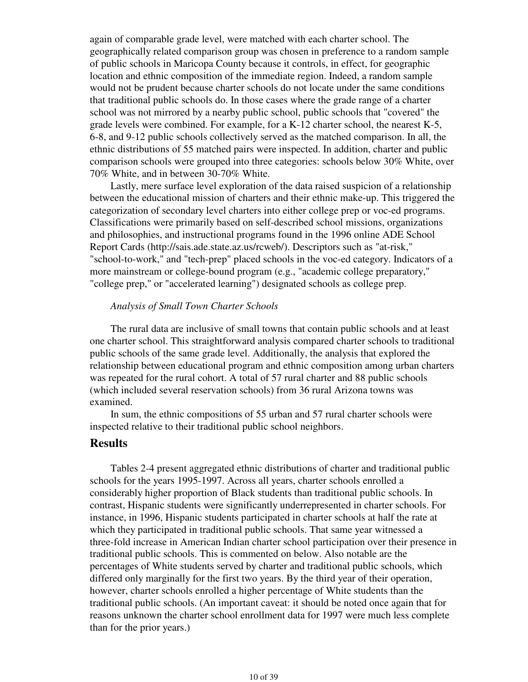again of comparable grade level, were matched with each charter school. The geographically related comparison group was chosen in preference to a random sample of public schools in Maricopa County because it controls, in effect, for geographic location and ethnic composition of the immediate region. Indeed, a random sample would not be prudent because charter schools do not locate under the same conditions that traditional public schools do. In those cases where the grade range of a charter school was not mirrored by a nearby public school, public schools that "covered" the grade levels were combined. For example, for a K-12 charter school, the nearest K-5, 6-8, and 9-12 public schools collectively served as the matched comparison. In all, the ethnic distributions of 55 matched pairs were inspected. In addition, charter and public comparison schools were grouped into three categories: schools below 30% White, over 70% White, and in between 30-70% White.

 Lastly, mere surface level exploration of the data raised suspicion of a relationship between the educational mission of charters and their ethnic make-up. This triggered the categorization of secondary level charters into either college prep or voc-ed programs. Classifications were primarily based on self-described school missions, organizations and philosophies, and instructional programs found in the 1996 online ADE School Report Cards (http://sais.ade.state.az.us/rcweb/). Descriptors such as "at-risk," "school-to-work," and "tech-prep" placed schools in the voc-ed category. Indicators of a more mainstream or college-bound program (e.g., "academic college preparatory," "college prep," or "accelerated learning") designated schools as college prep.

#### *Analysis of Small Town Charter Schools*

 The rural data are inclusive of small towns that contain public schools and at least one charter school. This straightforward analysis compared charter schools to traditional public schools of the same grade level. Additionally, the analysis that explored the relationship between educational program and ethnic composition among urban charters was repeated for the rural cohort. A total of 57 rural charter and 88 public schools (which included several reservation schools) from 36 rural Arizona towns was examined.

 In sum, the ethnic compositions of 55 urban and 57 rural charter schools were inspected relative to their traditional public school neighbors.

### **Results**

 Tables 2-4 present aggregated ethnic distributions of charter and traditional public schools for the years 1995-1997. Across all years, charter schools enrolled a considerably higher proportion of Black students than traditional public schools. In contrast, Hispanic students were significantly underrepresented in charter schools. For instance, in 1996, Hispanic students participated in charter schools at half the rate at which they participated in traditional public schools. That same year witnessed a three-fold increase in American Indian charter school participation over their presence in traditional public schools. This is commented on below. Also notable are the percentages of White students served by charter and traditional public schools, which differed only marginally for the first two years. By the third year of their operation, however, charter schools enrolled a higher percentage of White students than the traditional public schools. (An important caveat: it should be noted once again that for reasons unknown the charter school enrollment data for 1997 were much less complete than for the prior years.)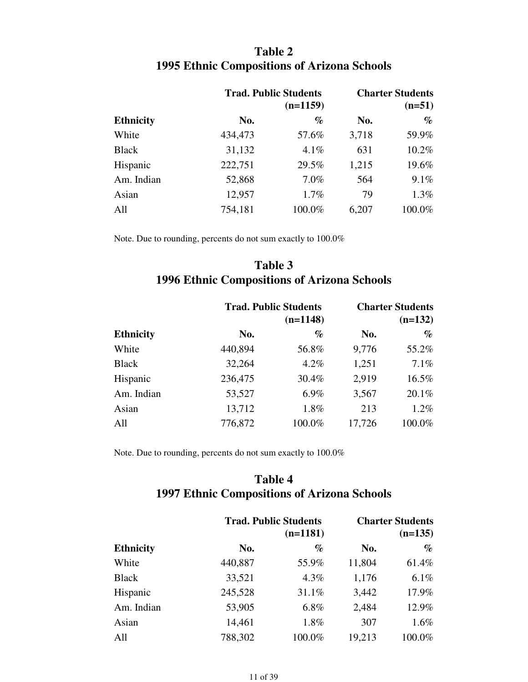# **Table 2 1995 Ethnic Compositions of Arizona Schools**

|                  |         | <b>Trad. Public Students</b><br>$(n=1159)$ |       |        |
|------------------|---------|--------------------------------------------|-------|--------|
| <b>Ethnicity</b> | No.     | $\%$                                       | No.   | $\%$   |
| White            | 434,473 | 57.6%                                      | 3,718 | 59.9%  |
| <b>Black</b>     | 31,132  | 4.1%                                       | 631   | 10.2%  |
| Hispanic         | 222,751 | 29.5%                                      | 1,215 | 19.6%  |
| Am. Indian       | 52,868  | 7.0%                                       | 564   | 9.1%   |
| Asian            | 12,957  | 1.7%                                       | 79    | 1.3%   |
| All              | 754,181 | 100.0%                                     | 6,207 | 100.0% |

Note. Due to rounding, percents do not sum exactly to 100.0%

# **Table 3 1996 Ethnic Compositions of Arizona Schools**

| <b>Ethnicity</b> |         | <b>Trad. Public Students</b><br>$(n=1148)$ |        |          |
|------------------|---------|--------------------------------------------|--------|----------|
|                  | No.     | $\%$                                       | No.    | $\%$     |
| White            | 440,894 | 56.8%                                      | 9,776  | 55.2%    |
| <b>Black</b>     | 32,264  | 4.2%                                       | 1,251  | 7.1%     |
| Hispanic         | 236,475 | 30.4%                                      | 2,919  | $16.5\%$ |
| Am. Indian       | 53,527  | 6.9%                                       | 3,567  | 20.1%    |
| Asian            | 13,712  | 1.8%                                       | 213    | $1.2\%$  |
| All              | 776,872 | 100.0%                                     | 17,726 | 100.0%   |

Note. Due to rounding, percents do not sum exactly to 100.0%

# **Table 4 1997 Ethnic Compositions of Arizona Schools**

|                  |         | <b>Trad. Public Students</b><br>$(n=1181)$ |        |        |
|------------------|---------|--------------------------------------------|--------|--------|
| <b>Ethnicity</b> | No.     | $\%$                                       | No.    | $\%$   |
| White            | 440,887 | 55.9%                                      | 11,804 | 61.4%  |
| <b>Black</b>     | 33,521  | 4.3%                                       | 1,176  | 6.1%   |
| Hispanic         | 245,528 | 31.1%                                      | 3,442  | 17.9%  |
| Am. Indian       | 53,905  | $6.8\%$                                    | 2,484  | 12.9%  |
| Asian            | 14,461  | 1.8%                                       | 307    | 1.6%   |
| All              | 788,302 | 100.0%                                     | 19,213 | 100.0% |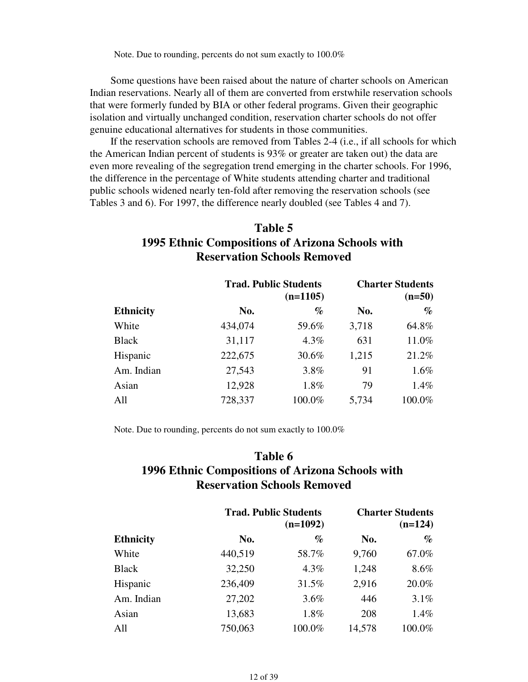Note. Due to rounding, percents do not sum exactly to 100.0%

 Some questions have been raised about the nature of charter schools on American Indian reservations. Nearly all of them are converted from erstwhile reservation schools that were formerly funded by BIA or other federal programs. Given their geographic isolation and virtually unchanged condition, reservation charter schools do not offer genuine educational alternatives for students in those communities.

 If the reservation schools are removed from Tables 2-4 (i.e., if all schools for which the American Indian percent of students is 93% or greater are taken out) the data are even more revealing of the segregation trend emerging in the charter schools. For 1996, the difference in the percentage of White students attending charter and traditional public schools widened nearly ten-fold after removing the reservation schools (see Tables 3 and 6). For 1997, the difference nearly doubled (see Tables 4 and 7).

## **Table 5 1995 Ethnic Compositions of Arizona Schools with Reservation Schools Removed**

|                  |         | <b>Trad. Public Students</b><br>$(n=1105)$ |       |        |
|------------------|---------|--------------------------------------------|-------|--------|
| <b>Ethnicity</b> | No.     | $\%$                                       | No.   | $\%$   |
| White            | 434,074 | 59.6%                                      | 3,718 | 64.8%  |
| <b>Black</b>     | 31,117  | 4.3%                                       | 631   | 11.0%  |
| Hispanic         | 222,675 | 30.6%                                      | 1,215 | 21.2%  |
| Am. Indian       | 27,543  | 3.8%                                       | 91    | 1.6%   |
| Asian            | 12,928  | 1.8%                                       | 79    | 1.4%   |
| All              | 728,337 | 100.0%                                     | 5,734 | 100.0% |

Note. Due to rounding, percents do not sum exactly to 100.0%

## **Table 6 1996 Ethnic Compositions of Arizona Schools with Reservation Schools Removed**

|                  |         | <b>Trad. Public Students</b><br>$(n=1092)$ |        |        |
|------------------|---------|--------------------------------------------|--------|--------|
| <b>Ethnicity</b> | No.     | %                                          | No.    | $\%$   |
| White            | 440,519 | 58.7%                                      | 9,760  | 67.0%  |
| <b>Black</b>     | 32,250  | 4.3%                                       | 1,248  | 8.6%   |
| Hispanic         | 236,409 | 31.5%                                      | 2,916  | 20.0%  |
| Am. Indian       | 27,202  | 3.6%                                       | 446    | 3.1%   |
| Asian            | 13,683  | 1.8%                                       | 208    | 1.4%   |
| All              | 750,063 | 100.0%                                     | 14,578 | 100.0% |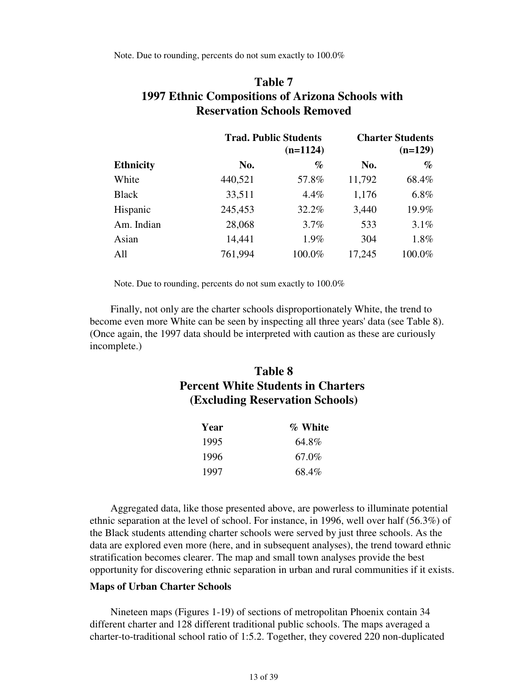Note. Due to rounding, percents do not sum exactly to 100.0%

## **Table 7 1997 Ethnic Compositions of Arizona Schools with Reservation Schools Removed**

|                  |         | <b>Trad. Public Students</b><br>$(n=1124)$ |        |        |
|------------------|---------|--------------------------------------------|--------|--------|
| <b>Ethnicity</b> | No.     | $\%$                                       | No.    | $\%$   |
| White            | 440,521 | 57.8%                                      | 11,792 | 68.4%  |
| <b>Black</b>     | 33,511  | 4.4%                                       | 1,176  | 6.8%   |
| Hispanic         | 245,453 | 32.2%                                      | 3,440  | 19.9%  |
| Am. Indian       | 28,068  | 3.7%                                       | 533    | 3.1%   |
| Asian            | 14,441  | 1.9%                                       | 304    | 1.8%   |
| All              | 761,994 | 100.0%                                     | 17,245 | 100.0% |

Note. Due to rounding, percents do not sum exactly to 100.0%

 Finally, not only are the charter schools disproportionately White, the trend to become even more White can be seen by inspecting all three years' data (see Table 8). (Once again, the 1997 data should be interpreted with caution as these are curiously incomplete.)

## **Table 8 Percent White Students in Charters (Excluding Reservation Schools)**

| Year | % White |
|------|---------|
| 1995 | 64.8%   |
| 1996 | 67.0%   |
| 1997 | 68.4%   |

 Aggregated data, like those presented above, are powerless to illuminate potential ethnic separation at the level of school. For instance, in 1996, well over half (56.3%) of the Black students attending charter schools were served by just three schools. As the data are explored even more (here, and in subsequent analyses), the trend toward ethnic stratification becomes clearer. The map and small town analyses provide the best opportunity for discovering ethnic separation in urban and rural communities if it exists.

#### **Maps of Urban Charter Schools**

 Nineteen maps (Figures 1-19) of sections of metropolitan Phoenix contain 34 different charter and 128 different traditional public schools. The maps averaged a charter-to-traditional school ratio of 1:5.2. Together, they covered 220 non-duplicated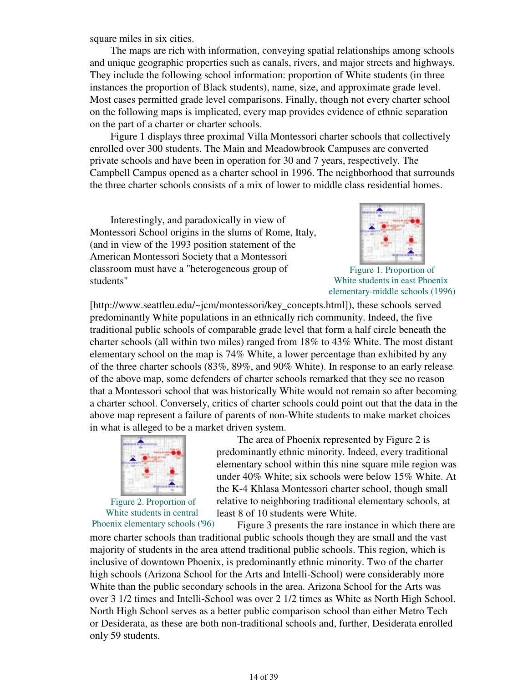square miles in six cities.

 The maps are rich with information, conveying spatial relationships among schools and unique geographic properties such as canals, rivers, and major streets and highways. They include the following school information: proportion of White students (in three instances the proportion of Black students), name, size, and approximate grade level. Most cases permitted grade level comparisons. Finally, though not every charter school on the following maps is implicated, every map provides evidence of ethnic separation on the part of a charter or charter schools.

 Figure 1 displays three proximal Villa Montessori charter schools that collectively enrolled over 300 students. The Main and Meadowbrook Campuses are converted private schools and have been in operation for 30 and 7 years, respectively. The Campbell Campus opened as a charter school in 1996. The neighborhood that surrounds the three charter schools consists of a mix of lower to middle class residential homes.

 Interestingly, and paradoxically in view of Montessori School origins in the slums of Rome, Italy, (and in view of the 1993 position statement of the American Montessori Society that a Montessori classroom must have a "heterogeneous group of students"



Figure 1. Proportion of White students in east Phoenix elementary-middle schools (1996)

[http://www.seattleu.edu/~jcm/montessori/key\_concepts.html]), these schools served predominantly White populations in an ethnically rich community. Indeed, the five traditional public schools of comparable grade level that form a half circle beneath the charter schools (all within two miles) ranged from 18% to 43% White. The most distant elementary school on the map is 74% White, a lower percentage than exhibited by any of the three charter schools (83%, 89%, and 90% White). In response to an early release of the above map, some defenders of charter schools remarked that they see no reason that a Montessori school that was historically White would not remain so after becoming a charter school. Conversely, critics of charter schools could point out that the data in the above map represent a failure of parents of non-White students to make market choices in what is alleged to be a market driven system.



Figure 2. Proportion of White students in central

 The area of Phoenix represented by Figure 2 is predominantly ethnic minority. Indeed, every traditional elementary school within this nine square mile region was under 40% White; six schools were below 15% White. At the K-4 Khlasa Montessori charter school, though small relative to neighboring traditional elementary schools, at least 8 of 10 students were White.

Phoenix elementary schools ('96) Figure 3 presents the rare instance in which there are more charter schools than traditional public schools though they are small and the vast majority of students in the area attend traditional public schools. This region, which is inclusive of downtown Phoenix, is predominantly ethnic minority. Two of the charter high schools (Arizona School for the Arts and Intelli-School) were considerably more White than the public secondary schools in the area. Arizona School for the Arts was over 3 1/2 times and Intelli-School was over 2 1/2 times as White as North High School. North High School serves as a better public comparison school than either Metro Tech or Desiderata, as these are both non-traditional schools and, further, Desiderata enrolled only 59 students.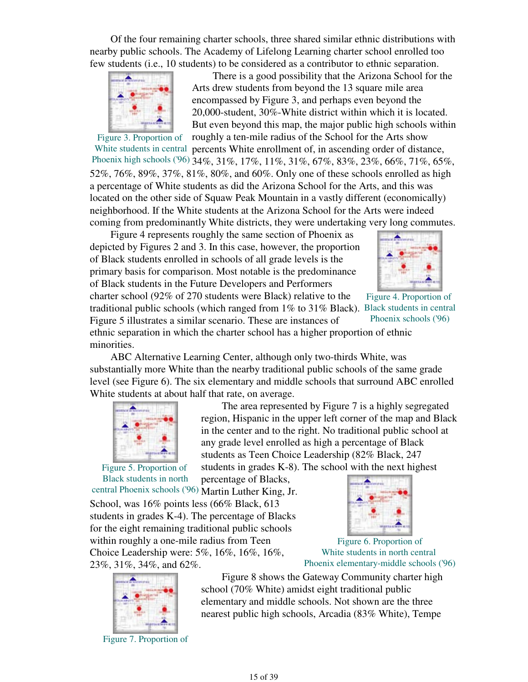Of the four remaining charter schools, three shared similar ethnic distributions with nearby public schools. The Academy of Lifelong Learning charter school enrolled too few students (i.e., 10 students) to be considered as a contributor to ethnic separation.



 There is a good possibility that the Arizona School for the Arts drew students from beyond the 13 square mile area encompassed by Figure 3, and perhaps even beyond the 20,000-student, 30%-White district within which it is located. But even beyond this map, the major public high schools within roughly a ten-mile radius of the School for the Arts show

Figure 3. Proportion of White students in central percents White enrollment of, in ascending order of distance, Phoenix high schools ('96) 34%, 31%, 17%, 11%, 31%, 67%, 83%, 23%, 66%, 71%, 65%, 52%, 76%, 89%, 37%, 81%, 80%, and 60%. Only one of these schools enrolled as high a percentage of White students as did the Arizona School for the Arts, and this was located on the other side of Squaw Peak Mountain in a vastly different (economically) neighborhood. If the White students at the Arizona School for the Arts were indeed coming from predominantly White districts, they were undertaking very long commutes.

traditional public schools (which ranged from 1% to 31% Black). Black students in central Figure 4 represents roughly the same section of Phoenix as depicted by Figures 2 and 3. In this case, however, the proportion of Black students enrolled in schools of all grade levels is the primary basis for comparison. Most notable is the predominance of Black students in the Future Developers and Performers charter school (92% of 270 students were Black) relative to the Figure 5 illustrates a similar scenario. These are instances of



Figure 4. Proportion of Phoenix schools ('96)

ethnic separation in which the charter school has a higher proportion of ethnic minorities.

 ABC Alternative Learning Center, although only two-thirds White, was substantially more White than the nearby traditional public schools of the same grade level (see Figure 6). The six elementary and middle schools that surround ABC enrolled White students at about half that rate, on average.



Figure 5. Proportion of

 The area represented by Figure 7 is a highly segregated region, Hispanic in the upper left corner of the map and Black in the center and to the right. No traditional public school at any grade level enrolled as high a percentage of Black students as Teen Choice Leadership (82% Black, 247 students in grades K-8). The school with the next highest

Black students in north central Phoenix schools ('96) Martin Luther King, Jr. percentage of Blacks, School, was 16% points less (66% Black, 613 students in grades K-4). The percentage of Blacks for the eight remaining traditional public schools within roughly a one-mile radius from Teen Choice Leadership were: 5%, 16%, 16%, 16%, 23%, 31%, 34%, and 62%.



Figure 6. Proportion of White students in north central Phoenix elementary-middle schools ('96)



Figure 7. Proportion of

 Figure 8 shows the Gateway Community charter high school (70% White) amidst eight traditional public elementary and middle schools. Not shown are the three nearest public high schools, Arcadia (83% White), Tempe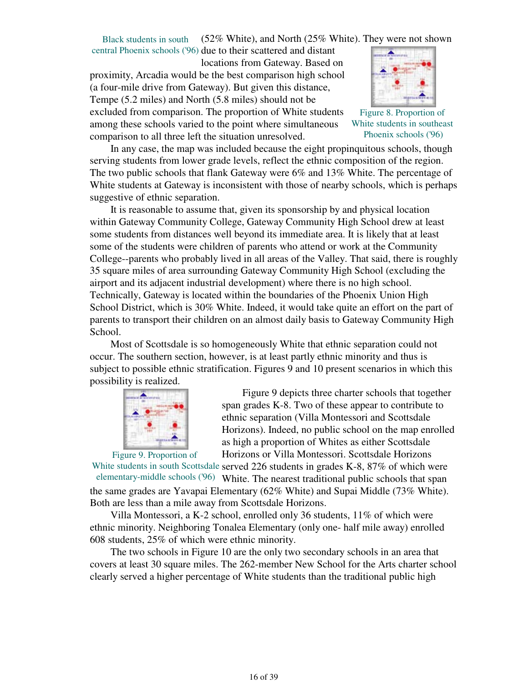Black students in south (52% White), and North (25% White). They were not shown

central Phoenix schools ('96) due to their scattered and distant locations from Gateway. Based on proximity, Arcadia would be the best comparison high school (a four-mile drive from Gateway). But given this distance, Tempe (5.2 miles) and North (5.8 miles) should not be excluded from comparison. The proportion of White students among these schools varied to the point where simultaneous comparison to all three left the situation unresolved.



Figure 8. Proportion of White students in southeast Phoenix schools ('96)

 In any case, the map was included because the eight propinquitous schools, though serving students from lower grade levels, reflect the ethnic composition of the region. The two public schools that flank Gateway were 6% and 13% White. The percentage of White students at Gateway is inconsistent with those of nearby schools, which is perhaps suggestive of ethnic separation.

 It is reasonable to assume that, given its sponsorship by and physical location within Gateway Community College, Gateway Community High School drew at least some students from distances well beyond its immediate area. It is likely that at least some of the students were children of parents who attend or work at the Community College--parents who probably lived in all areas of the Valley. That said, there is roughly 35 square miles of area surrounding Gateway Community High School (excluding the airport and its adjacent industrial development) where there is no high school. Technically, Gateway is located within the boundaries of the Phoenix Union High School District, which is 30% White. Indeed, it would take quite an effort on the part of parents to transport their children on an almost daily basis to Gateway Community High School.

 Most of Scottsdale is so homogeneously White that ethnic separation could not occur. The southern section, however, is at least partly ethnic minority and thus is subject to possible ethnic stratification. Figures 9 and 10 present scenarios in which this possibility is realized.



 Figure 9 depicts three charter schools that together span grades K-8. Two of these appear to contribute to ethnic separation (Villa Montessori and Scottsdale Horizons). Indeed, no public school on the map enrolled as high a proportion of Whites as either Scottsdale Horizons or Villa Montessori. Scottsdale Horizons

White students in south Scottsdale served 226 students in grades K-8, 87% of which were elementary-middle schools ('96) White. The nearest traditional public schools that span the same grades are Yavapai Elementary (62% White) and Supai Middle (73% White). Both are less than a mile away from Scottsdale Horizons.

 Villa Montessori, a K-2 school, enrolled only 36 students, 11% of which were ethnic minority. Neighboring Tonalea Elementary (only one- half mile away) enrolled 608 students, 25% of which were ethnic minority.

 The two schools in Figure 10 are the only two secondary schools in an area that covers at least 30 square miles. The 262-member New School for the Arts charter school clearly served a higher percentage of White students than the traditional public high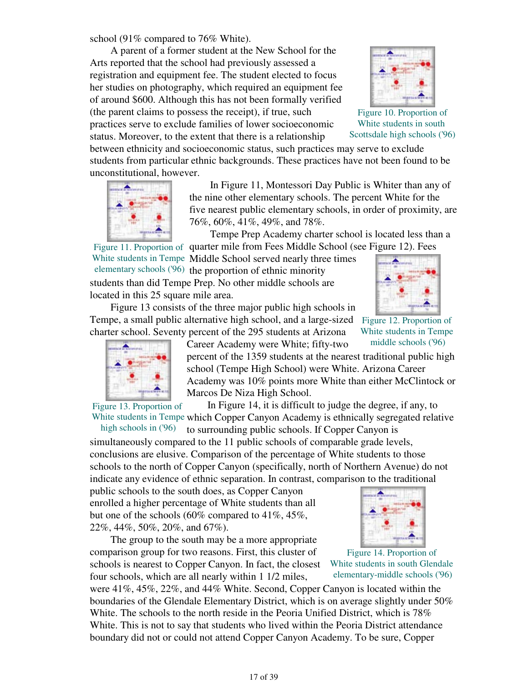school (91% compared to 76% White).

 A parent of a former student at the New School for the Arts reported that the school had previously assessed a registration and equipment fee. The student elected to focus her studies on photography, which required an equipment fee of around \$600. Although this has not been formally verified (the parent claims to possess the receipt), if true, such practices serve to exclude families of lower socioeconomic status. Moreover, to the extent that there is a relationship

between ethnicity and socioeconomic status, such practices may serve to exclude students from particular ethnic backgrounds. These practices have not been found to be unconstitutional, however.



 In Figure 11, Montessori Day Public is Whiter than any of the nine other elementary schools. The percent White for the five nearest public elementary schools, in order of proximity, are 76%, 60%, 41%, 49%, and 78%.

Tempe Prep Academy charter school is located less than a

Figure 11. Proportion of quarter mile from Fees Middle School (see Figure 12). Fees White students in Tempe Middle School served nearly three times elementary schools ('96) the proportion of ethnic minority students than did Tempe Prep. No other middle schools are located in this 25 square mile area.

 Figure 13 consists of the three major public high schools in Tempe, a small public alternative high school, and a large-sized charter school. Seventy percent of the 295 students at Arizona



Career Academy were White; fifty-two percent of the 1359 students at the nearest traditional public high school (Tempe High School) were White. Arizona Career Academy was 10% points more White than either McClintock or Marcos De Niza High School.

Figure 13. Proportion of White students in Tempe which Copper Canyon Academy is ethnically segregated relative In Figure 14, it is difficult to judge the degree, if any, to

high schools in ('96) to surrounding public schools. If Copper Canyon is

simultaneously compared to the 11 public schools of comparable grade levels, conclusions are elusive. Comparison of the percentage of White students to those schools to the north of Copper Canyon (specifically, north of Northern Avenue) do not indicate any evidence of ethnic separation. In contrast, comparison to the traditional

public schools to the south does, as Copper Canyon enrolled a higher percentage of White students than all but one of the schools (60% compared to 41%, 45%, 22%, 44%, 50%, 20%, and 67%).

 The group to the south may be a more appropriate comparison group for two reasons. First, this cluster of schools is nearest to Copper Canyon. In fact, the closest four schools, which are all nearly within 1 1/2 miles,

were 41%, 45%, 22%, and 44% White. Second, Copper Canyon is located within the boundaries of the Glendale Elementary District, which is on average slightly under 50% White. The schools to the north reside in the Peoria Unified District, which is 78% White. This is not to say that students who lived within the Peoria District attendance boundary did not or could not attend Copper Canyon Academy. To be sure, Copper



Figure 12. Proportion of White students in Tempe middle schools ('96)





Figure 14. Proportion of White students in south Glendale elementary-middle schools ('96)



Figure 10. Proportion of White students in south Scottsdale high schools ('96)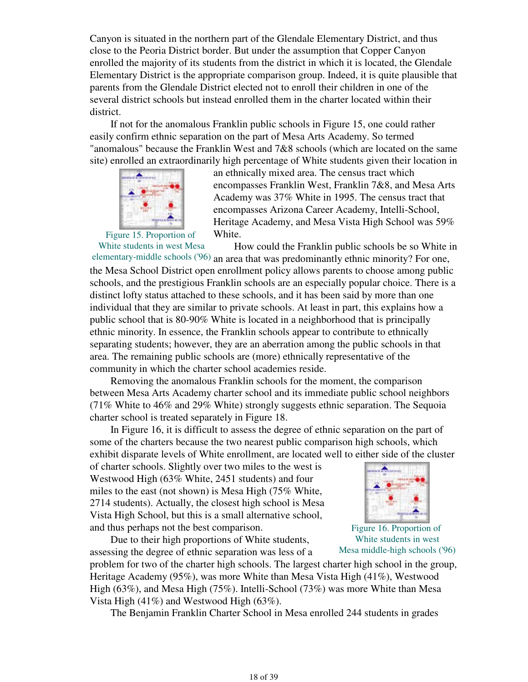Canyon is situated in the northern part of the Glendale Elementary District, and thus close to the Peoria District border. But under the assumption that Copper Canyon enrolled the majority of its students from the district in which it is located, the Glendale Elementary District is the appropriate comparison group. Indeed, it is quite plausible that parents from the Glendale District elected not to enroll their children in one of the several district schools but instead enrolled them in the charter located within their district.

 If not for the anomalous Franklin public schools in Figure 15, one could rather easily confirm ethnic separation on the part of Mesa Arts Academy. So termed "anomalous" because the Franklin West and 7&8 schools (which are located on the same site) enrolled an extraordinarily high percentage of White students given their location in



an ethnically mixed area. The census tract which encompasses Franklin West, Franklin 7&8, and Mesa Arts Academy was 37% White in 1995. The census tract that encompasses Arizona Career Academy, Intelli-School, Heritage Academy, and Mesa Vista High School was 59% White.

Figure 15. Proportion of White students in west Mesa

elementary-middle schools ('96) an area that was predominantly ethnic minority? For one, How could the Franklin public schools be so White in the Mesa School District open enrollment policy allows parents to choose among public schools, and the prestigious Franklin schools are an especially popular choice. There is a distinct lofty status attached to these schools, and it has been said by more than one individual that they are similar to private schools. At least in part, this explains how a public school that is 80-90% White is located in a neighborhood that is principally ethnic minority. In essence, the Franklin schools appear to contribute to ethnically separating students; however, they are an aberration among the public schools in that area. The remaining public schools are (more) ethnically representative of the community in which the charter school academies reside.

 Removing the anomalous Franklin schools for the moment, the comparison between Mesa Arts Academy charter school and its immediate public school neighbors (71% White to 46% and 29% White) strongly suggests ethnic separation. The Sequoia charter school is treated separately in Figure 18.

 In Figure 16, it is difficult to assess the degree of ethnic separation on the part of some of the charters because the two nearest public comparison high schools, which exhibit disparate levels of White enrollment, are located well to either side of the cluster

of charter schools. Slightly over two miles to the west is Westwood High (63% White, 2451 students) and four miles to the east (not shown) is Mesa High (75% White, 2714 students). Actually, the closest high school is Mesa Vista High School, but this is a small alternative school, and thus perhaps not the best comparison.

 Due to their high proportions of White students, assessing the degree of ethnic separation was less of a



Figure 16. Proportion of White students in west Mesa middle-high schools ('96)

problem for two of the charter high schools. The largest charter high school in the group, Heritage Academy (95%), was more White than Mesa Vista High (41%), Westwood High (63%), and Mesa High (75%). Intelli-School (73%) was more White than Mesa Vista High (41%) and Westwood High (63%).

The Benjamin Franklin Charter School in Mesa enrolled 244 students in grades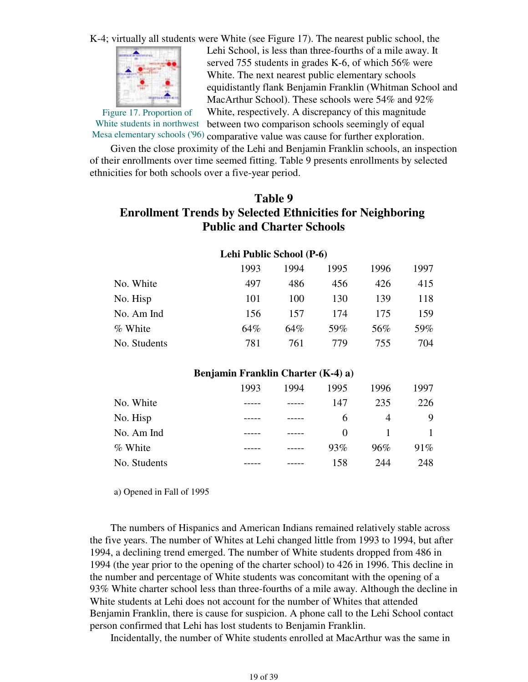K-4; virtually all students were White (see Figure 17). The nearest public school, the



Figure 17. Proportion of

Lehi School, is less than three-fourths of a mile away. It served 755 students in grades K-6, of which 56% were White. The next nearest public elementary schools equidistantly flank Benjamin Franklin (Whitman School and MacArthur School). These schools were 54% and 92% White, respectively. A discrepancy of this magnitude between two comparison schools seemingly of equal

White students in northwest Mesa elementary schools ('96) comparative value was cause for further exploration.

 Given the close proximity of the Lehi and Benjamin Franklin schools, an inspection of their enrollments over time seemed fitting. Table 9 presents enrollments by selected ethnicities for both schools over a five-year period.

### **Table 9**

## **Enrollment Trends by Selected Ethnicities for Neighboring Public and Charter Schools**

|              | 1993 | 1994 | 1995 | 1996 | 1997 |
|--------------|------|------|------|------|------|
| No. White    | 497  | 486  | 456  | 426  | 415  |
| No. Hisp     | 101  | 100  | 130  | 139  | 118  |
| No. Am Ind   | 156  | 157  | 174  | 175  | 159  |
| % White      | 64%  | 64%  | 59%  | 56%  | 59%  |
| No. Students | 781  | 761  | 779  | 755  | 704  |

#### **Lehi Public School (P-6)**

### **Benjamin Franklin Charter (K-4) a)**

|              | 1993 | 1994 | 1995     | 1996 | 1997 |
|--------------|------|------|----------|------|------|
| No. White    |      |      | 147      | 235  | 226  |
| No. Hisp     |      |      | 6        | 4    | 9    |
| No. Am Ind   |      |      | $\Omega$ |      |      |
| % White      |      |      | 93%      | 96%  | 91%  |
| No. Students |      |      | 158      | 244  | 248  |

a) Opened in Fall of 1995

 The numbers of Hispanics and American Indians remained relatively stable across the five years. The number of Whites at Lehi changed little from 1993 to 1994, but after 1994, a declining trend emerged. The number of White students dropped from 486 in 1994 (the year prior to the opening of the charter school) to 426 in 1996. This decline in the number and percentage of White students was concomitant with the opening of a 93% White charter school less than three-fourths of a mile away. Although the decline in White students at Lehi does not account for the number of Whites that attended Benjamin Franklin, there is cause for suspicion. A phone call to the Lehi School contact person confirmed that Lehi has lost students to Benjamin Franklin.

Incidentally, the number of White students enrolled at MacArthur was the same in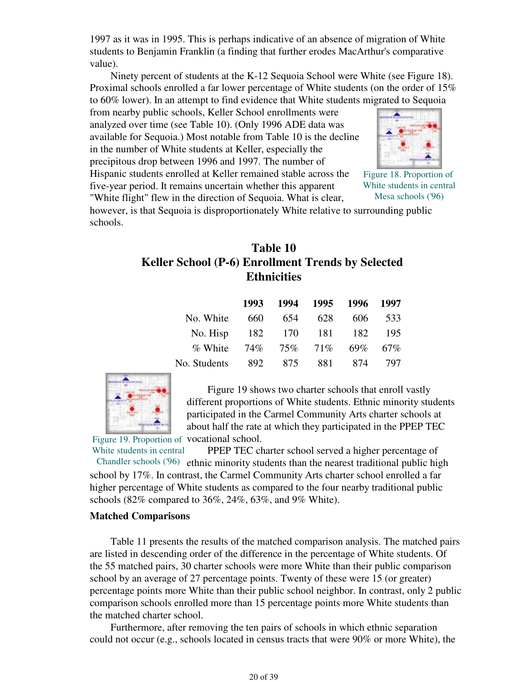1997 as it was in 1995. This is perhaps indicative of an absence of migration of White students to Benjamin Franklin (a finding that further erodes MacArthur's comparative value).

 Ninety percent of students at the K-12 Sequoia School were White (see Figure 18). Proximal schools enrolled a far lower percentage of White students (on the order of 15% to 60% lower). In an attempt to find evidence that White students migrated to Sequoia

from nearby public schools, Keller School enrollments were analyzed over time (see Table 10). (Only 1996 ADE data was available for Sequoia.) Most notable from Table 10 is the decline in the number of White students at Keller, especially the precipitous drop between 1996 and 1997. The number of Hispanic students enrolled at Keller remained stable across the five-year period. It remains uncertain whether this apparent

"White flight" flew in the direction of Sequoia. What is clear,



Figure 18. Proportion of White students in central Mesa schools ('96)

however, is that Sequoia is disproportionately White relative to surrounding public schools.

## **Table 10 Keller School (P-6) Enrollment Trends by Selected Ethnicities**

|              | 1993 | 1994           | 1995 | 1996 1997 |     |
|--------------|------|----------------|------|-----------|-----|
| No. White    | 660  | 654            | 628  | 606       | 533 |
| No. Hisp     | 182  | 170            | 181  | 182       | 195 |
| % White      |      | 74\% 75\% 71\% |      | $69\%$    | 67% |
| No. Students | 892  | 875            | 881  | 874       | 797 |
|              |      |                |      |           |     |



Figure 19. Proportion of vocational school. Figure 19 shows two charter schools that enroll vastly different proportions of White students. Ethnic minority students participated in the Carmel Community Arts charter schools at about half the rate at which they participated in the PPEP TEC

White students in central PPEP TEC charter school served a higher percentage of

Chandler schools ('96) ethnic minority students than the nearest traditional public high school by 17%. In contrast, the Carmel Community Arts charter school enrolled a far higher percentage of White students as compared to the four nearby traditional public schools (82% compared to 36%, 24%, 63%, and 9% White).

#### **Matched Comparisons**

 Table 11 presents the results of the matched comparison analysis. The matched pairs are listed in descending order of the difference in the percentage of White students. Of the 55 matched pairs, 30 charter schools were more White than their public comparison school by an average of 27 percentage points. Twenty of these were 15 (or greater) percentage points more White than their public school neighbor. In contrast, only 2 public comparison schools enrolled more than 15 percentage points more White students than the matched charter school.

 Furthermore, after removing the ten pairs of schools in which ethnic separation could not occur (e.g., schools located in census tracts that were 90% or more White), the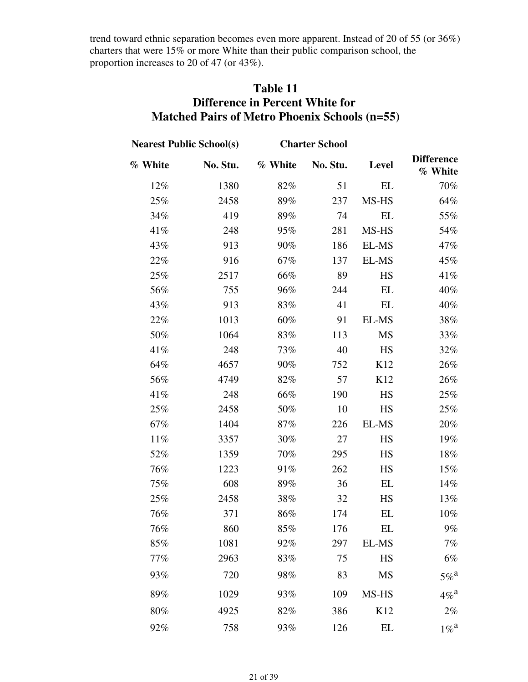trend toward ethnic separation becomes even more apparent. Instead of 20 of 55 (or 36%) charters that were 15% or more White than their public comparison school, the proportion increases to 20 of 47 (or 43%).

## **Table 11 Difference in Percent White for Matched Pairs of Metro Phoenix Schools (n=55)**

|         | <b>Nearest Public School(s)</b> |         | <b>Charter School</b> |           |                              |
|---------|---------------------------------|---------|-----------------------|-----------|------------------------------|
| % White | No. Stu.                        | % White | No. Stu.              | Level     | <b>Difference</b><br>% White |
| 12%     | 1380                            | 82%     | 51                    | EL        | 70%                          |
| 25%     | 2458                            | 89%     | 237                   | MS-HS     | 64%                          |
| 34%     | 419                             | 89%     | 74                    | EL        | 55%                          |
| 41%     | 248                             | 95%     | 281                   | MS-HS     | 54%                          |
| 43%     | 913                             | 90%     | 186                   | EL-MS     | 47%                          |
| 22%     | 916                             | 67%     | 137                   | EL-MS     | 45%                          |
| 25%     | 2517                            | 66%     | 89                    | HS        | 41%                          |
| 56%     | 755                             | 96%     | 244                   | EL        | 40%                          |
| 43%     | 913                             | 83%     | 41                    | EL        | 40%                          |
| 22%     | 1013                            | 60%     | 91                    | EL-MS     | 38%                          |
| 50%     | 1064                            | 83%     | 113                   | MS        | 33%                          |
| 41%     | 248                             | 73%     | 40                    | HS        | 32%                          |
| 64%     | 4657                            | 90%     | 752                   | K12       | 26%                          |
| 56%     | 4749                            | 82%     | 57                    | K12       | 26%                          |
| 41%     | 248                             | 66%     | 190                   | HS        | 25%                          |
| 25%     | 2458                            | 50%     | 10                    | HS        | 25%                          |
| 67%     | 1404                            | 87%     | 226                   | EL-MS     | 20%                          |
| 11%     | 3357                            | 30%     | 27                    | HS        | 19%                          |
| 52%     | 1359                            | 70%     | 295                   | HS        | 18%                          |
| 76%     | 1223                            | 91%     | 262                   | HS        | 15%                          |
| 75%     | 608                             | 89%     | 36                    | EL        | 14%                          |
| 25%     | 2458                            | 38%     | 32                    | HS        | 13%                          |
| 76%     | 371                             | 86%     | 174                   | EL        | 10%                          |
| 76%     | 860                             | 85%     | 176                   | EL        | $9\%$                        |
| 85%     | 1081                            | 92%     | 297                   | EL-MS     | 7%                           |
| 77%     | 2963                            | 83%     | 75                    | HS        | 6%                           |
| 93%     | 720                             | 98%     | 83                    | <b>MS</b> | $5\%$ <sup>a</sup>           |
| 89%     | 1029                            | 93%     | 109                   | MS-HS     | $4\%$ <sup>a</sup>           |
| 80%     | 4925                            | 82%     | 386                   | K12       | $2\%$                        |
| 92%     | 758                             | 93%     | 126                   | EL        | $1\%$ <sup>a</sup>           |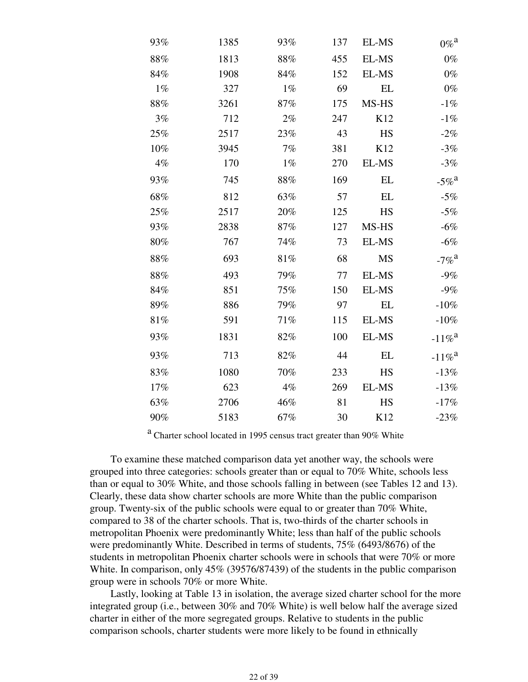| $0\%$ <sup>a</sup>   | EL-MS     | 137 | 93%    | 1385 | 93%   |
|----------------------|-----------|-----|--------|------|-------|
| $0\%$                | EL-MS     | 455 | 88%    | 1813 | 88%   |
| $0\%$                | EL-MS     | 152 | 84%    | 1908 | 84%   |
| $0\%$                | EL        | 69  | $1\%$  | 327  | $1\%$ |
| $-1%$                | MS-HS     | 175 | 87%    | 3261 | 88%   |
| $-1%$                | K12       | 247 | $2\%$  | 712  | 3%    |
| $-2%$                | HS        | 43  | 23%    | 2517 | 25%   |
| $-3%$                | K12       | 381 | 7%     | 3945 | 10%   |
| $-3%$                | EL-MS     | 270 | $1\%$  | 170  | 4%    |
| $-5\%$ <sup>a</sup>  | EL        | 169 | $88\%$ | 745  | 93%   |
| $-5%$                | EL        | 57  | 63%    | 812  | 68%   |
| $-5%$                | HS        | 125 | 20%    | 2517 | 25%   |
| $-6%$                | MS-HS     | 127 | 87%    | 2838 | 93%   |
| $-6%$                | EL-MS     | 73  | 74%    | 767  | 80%   |
| $-7\%$ <sup>a</sup>  | <b>MS</b> | 68  | 81%    | 693  | 88%   |
| $-9%$                | EL-MS     | 77  | 79%    | 493  | 88%   |
| $-9%$                | EL-MS     | 150 | 75%    | 851  | 84%   |
| $-10%$               | EL        | 97  | 79%    | 886  | 89%   |
| $-10\%$              | EL-MS     | 115 | 71%    | 591  | 81%   |
| $-11\%$ <sup>a</sup> | EL-MS     | 100 | 82%    | 1831 | 93%   |
| $-11\%$ <sup>a</sup> | <b>EL</b> | 44  | 82%    | 713  | 93%   |
| $-13%$               | HS        | 233 | 70%    | 1080 | 83%   |
| $-13%$               | EL-MS     | 269 | 4%     | 623  | 17%   |
| $-17%$               | HS        | 81  | 46%    | 2706 | 63%   |
| $-23%$               | K12       | 30  | 67%    | 5183 | 90%   |

<sup>a</sup> Charter school located in 1995 census tract greater than 90% White

 To examine these matched comparison data yet another way, the schools were grouped into three categories: schools greater than or equal to 70% White, schools less than or equal to 30% White, and those schools falling in between (see Tables 12 and 13). Clearly, these data show charter schools are more White than the public comparison group. Twenty-six of the public schools were equal to or greater than 70% White, compared to 38 of the charter schools. That is, two-thirds of the charter schools in metropolitan Phoenix were predominantly White; less than half of the public schools were predominantly White. Described in terms of students, 75% (6493/8676) of the students in metropolitan Phoenix charter schools were in schools that were 70% or more White. In comparison, only 45% (39576/87439) of the students in the public comparison group were in schools 70% or more White.

 Lastly, looking at Table 13 in isolation, the average sized charter school for the more integrated group (i.e., between 30% and 70% White) is well below half the average sized charter in either of the more segregated groups. Relative to students in the public comparison schools, charter students were more likely to be found in ethnically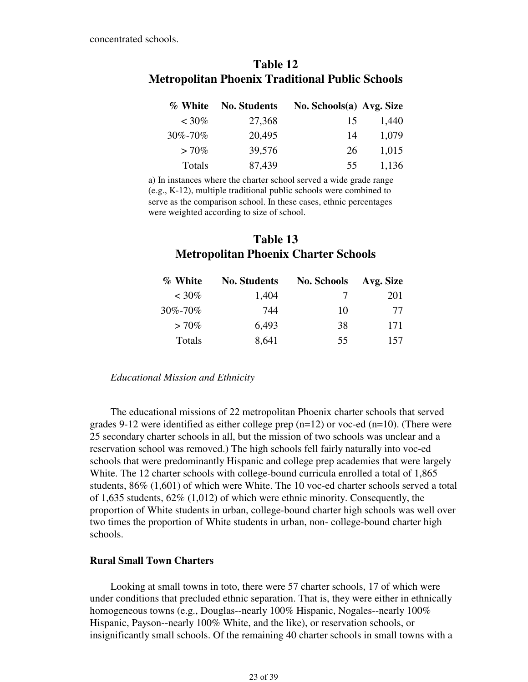| Table 12                                               |  |  |  |  |  |
|--------------------------------------------------------|--|--|--|--|--|
| <b>Metropolitan Phoenix Traditional Public Schools</b> |  |  |  |  |  |

| % White  | <b>No. Students</b> | No. Schools(a) Avg. Size |       |
|----------|---------------------|--------------------------|-------|
| $~10\%$  | 27,368              | 15                       | 1,440 |
| 30%-70%  | 20,495              | 14                       | 1,079 |
| $> 70\%$ | 39,576              | 26                       | 1,015 |
| Totals   | 87,439              | 55                       | 1,136 |

a) In instances where the charter school served a wide grade range (e.g., K-12), multiple traditional public schools were combined to serve as the comparison school. In these cases, ethnic percentages were weighted according to size of school.

## **Table 13 Metropolitan Phoenix Charter Schools**

| % White  | <b>No. Students</b> | <b>No. Schools</b> | Avg. Size |
|----------|---------------------|--------------------|-----------|
| $~10\%$  | 1,404               | 7                  | 201       |
| 30%-70%  | 744                 | 10                 | 77        |
| $> 70\%$ | 6,493               | 38                 | 171       |
| Totals   | 8,641               | 55                 | 157       |

*Educational Mission and Ethnicity*

 The educational missions of 22 metropolitan Phoenix charter schools that served grades 9-12 were identified as either college prep  $(n=12)$  or voc-ed  $(n=10)$ . (There were 25 secondary charter schools in all, but the mission of two schools was unclear and a reservation school was removed.) The high schools fell fairly naturally into voc-ed schools that were predominantly Hispanic and college prep academies that were largely White. The 12 charter schools with college-bound curricula enrolled a total of 1,865 students, 86% (1,601) of which were White. The 10 voc-ed charter schools served a total of 1,635 students, 62% (1,012) of which were ethnic minority. Consequently, the proportion of White students in urban, college-bound charter high schools was well over two times the proportion of White students in urban, non- college-bound charter high schools.

#### **Rural Small Town Charters**

 Looking at small towns in toto, there were 57 charter schools, 17 of which were under conditions that precluded ethnic separation. That is, they were either in ethnically homogeneous towns (e.g., Douglas--nearly 100% Hispanic, Nogales--nearly 100% Hispanic, Payson--nearly 100% White, and the like), or reservation schools, or insignificantly small schools. Of the remaining 40 charter schools in small towns with a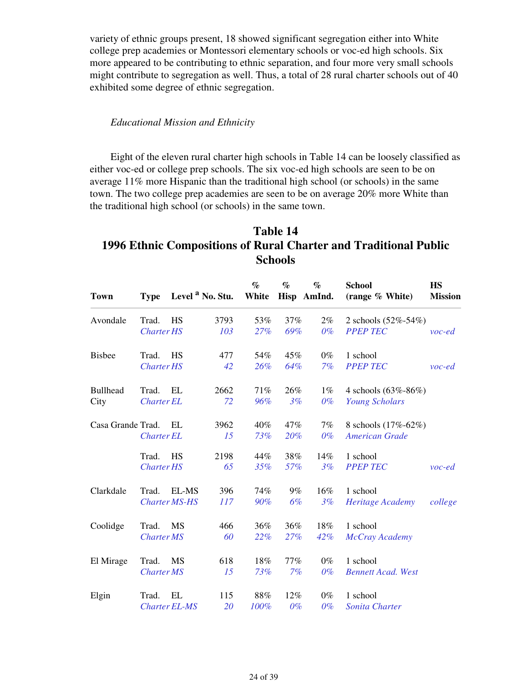variety of ethnic groups present, 18 showed significant segregation either into White college prep academies or Montessori elementary schools or voc-ed high schools. Six more appeared to be contributing to ethnic separation, and four more very small schools might contribute to segregation as well. Thus, a total of 28 rural charter schools out of 40 exhibited some degree of ethnic segregation.

#### *Educational Mission and Ethnicity*

 Eight of the eleven rural charter high schools in Table 14 can be loosely classified as either voc-ed or college prep schools. The six voc-ed high schools are seen to be on average 11% more Hispanic than the traditional high school (or schools) in the same town. The two college prep academies are seen to be on average 20% more White than the traditional high school (or schools) in the same town.

## **Table 14 1996 Ethnic Compositions of Rural Charter and Traditional Public Schools**

| <b>Town</b>       | <b>Type</b>       |                      | Level <sup>a</sup> No. Stu. | $\%$<br>White | $\%$  | $\%$<br>Hisp AmInd. | <b>School</b><br>(range % White) | <b>HS</b><br><b>Mission</b> |
|-------------------|-------------------|----------------------|-----------------------------|---------------|-------|---------------------|----------------------------------|-----------------------------|
| Avondale          | Trad.             | HS                   | 3793                        | 53%           | 37%   | $2\%$               | 2 schools (52%-54%)              |                             |
|                   | <b>Charter HS</b> |                      | 103                         | 27%           | 69%   | $0\%$               | <b>PPEP TEC</b>                  | $\nu$ oc-ed                 |
| <b>Bisbee</b>     | Trad.             | HS                   | 477                         | 54%           | 45%   | $0\%$               | 1 school                         |                             |
|                   | <b>Charter HS</b> |                      | 42                          | 26%           | 64%   | 7%                  | <b>PPEP TEC</b>                  | $\mathit{voc-ed}$           |
| <b>Bullhead</b>   | Trad.             | EL                   | 2662                        | 71%           | 26%   | $1\%$               | 4 schools $(63\% - 86\%)$        |                             |
| City              | <b>Charter EL</b> |                      | 72                          | 96%           | 3%    | $0\%$               | <b>Young Scholars</b>            |                             |
| Casa Grande Trad. |                   | EL                   | 3962                        | 40%           | 47%   | 7%                  | 8 schools (17%-62%)              |                             |
|                   | <b>Charter EL</b> |                      | 15                          | 73%           | 20%   | $0\%$               | <b>American Grade</b>            |                             |
|                   | Trad.             | HS                   | 2198                        | 44%           | 38%   | 14%                 | 1 school                         |                             |
|                   | <b>Charter HS</b> |                      | 65                          | 35%           | 57%   | 3%                  | <b>PPEP TEC</b>                  | $\nu$ oc-ed                 |
| Clarkdale         | Trad.             | EL-MS                | 396                         | 74%           | $9\%$ | 16%                 | 1 school                         |                             |
|                   |                   | <b>Charter MS-HS</b> | 117                         | 90%           | 6%    | 3%                  | Heritage Academy                 | college                     |
| Coolidge          | Trad.             | MS                   | 466                         | 36%           | 36%   | 18%                 | 1 school                         |                             |
|                   | <b>Charter MS</b> |                      | 60                          | 22%           | 27%   | 42%                 | McCray Academy                   |                             |
| El Mirage         | Trad.             | <b>MS</b>            | 618                         | 18%           | 77%   | $0\%$               | 1 school                         |                             |
|                   | <b>Charter MS</b> |                      | 15                          | 73%           | 7%    | $0\%$               | <b>Bennett Acad. West</b>        |                             |
| Elgin             | Trad.             | EL                   | 115                         | 88%           | 12%   | $0\%$               | 1 school                         |                             |
|                   |                   | <b>Charter EL-MS</b> | <b>20</b>                   | 100%          | $0\%$ | $0\%$               | Sonita Charter                   |                             |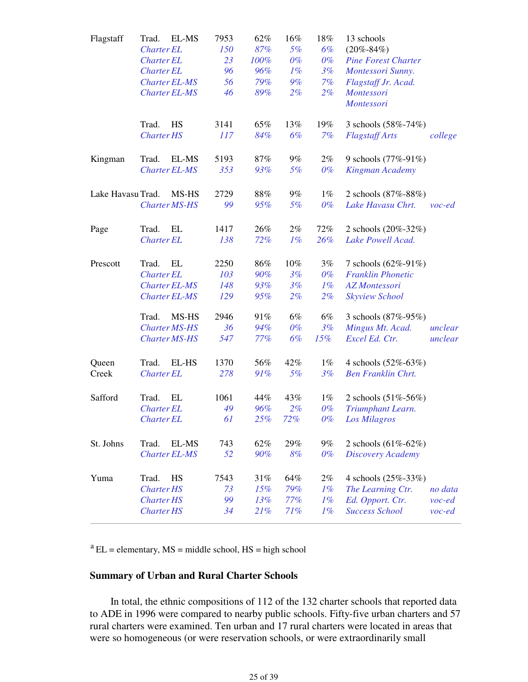| Flagstaff         | Trad.             | EL-MS                | 7953 | 62%  | 16%    | 18%   | 13 schools                 |             |
|-------------------|-------------------|----------------------|------|------|--------|-------|----------------------------|-------------|
|                   | <b>Charter EL</b> |                      | 150  | 87%  | 5%     | 6%    | $(20\% - 84\%)$            |             |
|                   | <b>Charter EL</b> |                      | 23   | 100% | $0\%$  | $0\%$ | <b>Pine Forest Charter</b> |             |
|                   | <b>Charter EL</b> |                      | 96   | 96%  | $1\%$  | 3%    | Montessori Sunny.          |             |
|                   |                   | <b>Charter EL-MS</b> | 56   | 79%  | 9%     | 7%    | Flagstaff Jr. Acad.        |             |
|                   |                   | <b>Charter EL-MS</b> | 46   | 89%  | $2\%$  | $2\%$ | Montessori                 |             |
|                   |                   |                      |      |      |        |       | Montessori                 |             |
|                   | Trad.             | <b>HS</b>            | 3141 | 65%  | 13%    | 19%   | 3 schools (58%-74%)        |             |
|                   | <b>Charter HS</b> |                      | 117  | 84%  | 6%     | 7%    | <b>Flagstaff Arts</b>      | college     |
| Kingman           | Trad.             | EL-MS                | 5193 | 87%  | $9\%$  | $2\%$ | 9 schools (77%-91%)        |             |
|                   |                   | <b>Charter EL-MS</b> | 353  | 93%  | 5%     | $0\%$ | Kingman Academy            |             |
| Lake Havasu Trad. |                   | MS-HS                | 2729 | 88%  | $9\%$  | $1\%$ | 2 schools (87%-88%)        |             |
|                   |                   | <b>Charter MS-HS</b> | 99   | 95%  | 5%     | $0\%$ | Lake Havasu Chrt.          | $\nu$ oc-ed |
| Page              | Trad.             | EL                   | 1417 | 26%  | $2\%$  | 72%   | 2 schools (20%-32%)        |             |
|                   | <b>Charter EL</b> |                      | 138  | 72%  | 1%     | 26%   | Lake Powell Acad.          |             |
|                   |                   |                      |      |      |        |       |                            |             |
| Prescott          | Trad.             | EL                   | 2250 | 86%  | $10\%$ | 3%    | 7 schools $(62\% - 91\%)$  |             |
|                   | <b>Charter EL</b> |                      | 103  | 90%  | 3%     | $0\%$ | <b>Franklin Phonetic</b>   |             |
|                   |                   | <b>Charter EL-MS</b> | 148  | 93%  | 3%     | $1\%$ | <b>AZ</b> Montessori       |             |
|                   |                   | <b>Charter EL-MS</b> | 129  | 95%  | $2\%$  | $2\%$ | <b>Skyview School</b>      |             |
|                   | Trad.             | MS-HS                | 2946 | 91%  | 6%     | 6%    | 3 schools (87%-95%)        |             |
|                   |                   | <b>Charter MS-HS</b> | 36   | 94%  | 0%     | 3%    | Mingus Mt. Acad.           | unclear     |
|                   |                   | <b>Charter MS-HS</b> | 547  | 77%  | 6%     | 15%   | Excel Ed. Ctr.             | unclear     |
| Queen             | Trad.             | EL-HS                | 1370 | 56%  | 42%    | $1\%$ | 4 schools $(52\% - 63\%)$  |             |
| Creek             | <b>Charter EL</b> |                      | 278  | 91%  | 5%     | 3%    | <b>Ben Franklin Chrt.</b>  |             |
| Safford           | Trad.             | EL                   | 1061 | 44%  | 43%    | $1\%$ | 2 schools (51%-56%)        |             |
|                   | <b>Charter EL</b> |                      | 49   | 96%  | $2\%$  | $0\%$ | Triumphant Learn.          |             |
|                   | <b>Charter EL</b> |                      | 61   | 25%  | 72%    | $0\%$ | Los Milagros               |             |
| St. Johns         | Trad.             | EL-MS                | 743  | 62%  | 29%    | $9\%$ | 2 schools $(61\% - 62\%)$  |             |
|                   |                   | <b>Charter EL-MS</b> | 52   | 90%  | 8%     | $0\%$ | <b>Discovery Academy</b>   |             |
| Yuma              | Trad.             | HS                   | 7543 | 31%  | 64%    | $2\%$ | 4 schools (25%-33%)        |             |
|                   | <b>Charter HS</b> |                      | 73   | 15%  | 79%    | $1\%$ | The Learning Ctr.          | no data     |
|                   | <b>Charter HS</b> |                      | 99   | 13%  | 77%    | $1\%$ | Ed. Opport. Ctr.           | $\nu$ oc-ed |
|                   | <b>Charter HS</b> |                      | 34   | 21%  | 71%    | $1\%$ | <b>Success School</b>      | $\nu$ oc-ed |
|                   |                   |                      |      |      |        |       |                            |             |

 $a<sup>a</sup>EL =$  elementary,  $MS =$  middle school,  $HS =$  high school

## **Summary of Urban and Rural Charter Schools**

 In total, the ethnic compositions of 112 of the 132 charter schools that reported data to ADE in 1996 were compared to nearby public schools. Fifty-five urban charters and 57 rural charters were examined. Ten urban and 17 rural charters were located in areas that were so homogeneous (or were reservation schools, or were extraordinarily small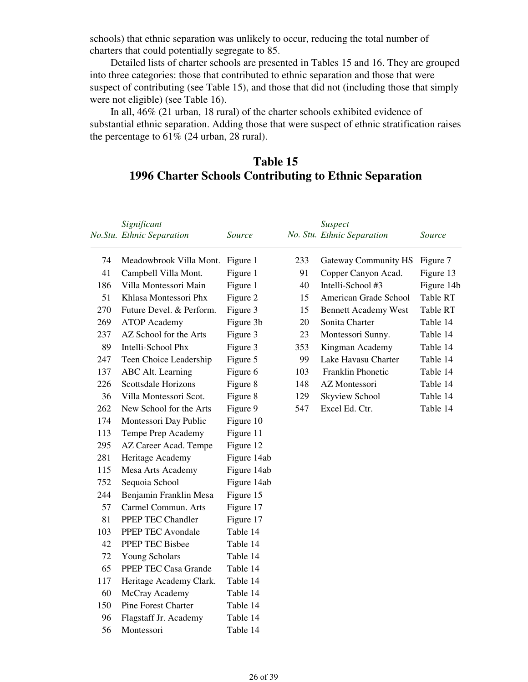schools) that ethnic separation was unlikely to occur, reducing the total number of charters that could potentially segregate to 85.

 Detailed lists of charter schools are presented in Tables 15 and 16. They are grouped into three categories: those that contributed to ethnic separation and those that were suspect of contributing (see Table 15), and those that did not (including those that simply were not eligible) (see Table 16).

 In all, 46% (21 urban, 18 rural) of the charter schools exhibited evidence of substantial ethnic separation. Adding those that were suspect of ethnic stratification raises the percentage to  $61\%$  (24 urban, 28 rural).

## **Table 15 1996 Charter Schools Contributing to Ethnic Separation**

|     | Significant                |             |     | Suspect                     |            |
|-----|----------------------------|-------------|-----|-----------------------------|------------|
|     | No.Stu. Ethnic Separation  | Source      |     | No. Stu. Ethnic Separation  | Source     |
| 74  | Meadowbrook Villa Mont.    | Figure 1    | 233 | <b>Gateway Community HS</b> | Figure 7   |
| 41  | Campbell Villa Mont.       | Figure 1    | 91  | Copper Canyon Acad.         | Figure 13  |
| 186 | Villa Montessori Main      | Figure 1    | 40  | Intelli-School #3           | Figure 14b |
| 51  | Khlasa Montessori Phx      | Figure 2    | 15  | American Grade School       | Table RT   |
| 270 | Future Devel. & Perform.   | Figure 3    | 15  | <b>Bennett Academy West</b> | Table RT   |
| 269 | <b>ATOP</b> Academy        | Figure 3b   | 20  | Sonita Charter              | Table 14   |
| 237 | AZ School for the Arts     | Figure 3    | 23  | Montessori Sunny.           | Table 14   |
| 89  | Intelli-School Phx         | Figure 3    | 353 | Kingman Academy             | Table 14   |
| 247 | Teen Choice Leadership     | Figure 5    | 99  | Lake Havasu Charter         | Table 14   |
| 137 | ABC Alt. Learning          | Figure 6    | 103 | Franklin Phonetic           | Table 14   |
| 226 | <b>Scottsdale Horizons</b> | Figure 8    | 148 | AZ Montessori               | Table 14   |
| 36  | Villa Montessori Scot.     | Figure 8    | 129 | <b>Skyview School</b>       | Table 14   |
| 262 | New School for the Arts    | Figure 9    | 547 | Excel Ed. Ctr.              | Table 14   |
| 174 | Montessori Day Public      | Figure 10   |     |                             |            |
| 113 | Tempe Prep Academy         | Figure 11   |     |                             |            |
| 295 | AZ Career Acad. Tempe      | Figure 12   |     |                             |            |
| 281 | Heritage Academy           | Figure 14ab |     |                             |            |
| 115 | Mesa Arts Academy          | Figure 14ab |     |                             |            |
| 752 | Sequoia School             | Figure 14ab |     |                             |            |
| 244 | Benjamin Franklin Mesa     | Figure 15   |     |                             |            |
| 57  | Carmel Commun. Arts        | Figure 17   |     |                             |            |
| 81  | PPEP TEC Chandler          | Figure 17   |     |                             |            |
| 103 | PPEP TEC Avondale          | Table 14    |     |                             |            |
| 42  | PPEP TEC Bisbee            | Table 14    |     |                             |            |
| 72  | <b>Young Scholars</b>      | Table 14    |     |                             |            |
| 65  | PPEP TEC Casa Grande       | Table 14    |     |                             |            |
| 117 | Heritage Academy Clark.    | Table 14    |     |                             |            |
| 60  | McCray Academy             | Table 14    |     |                             |            |
| 150 | <b>Pine Forest Charter</b> | Table 14    |     |                             |            |
| 96  | Flagstaff Jr. Academy      | Table 14    |     |                             |            |
| 56  | Montessori                 | Table 14    |     |                             |            |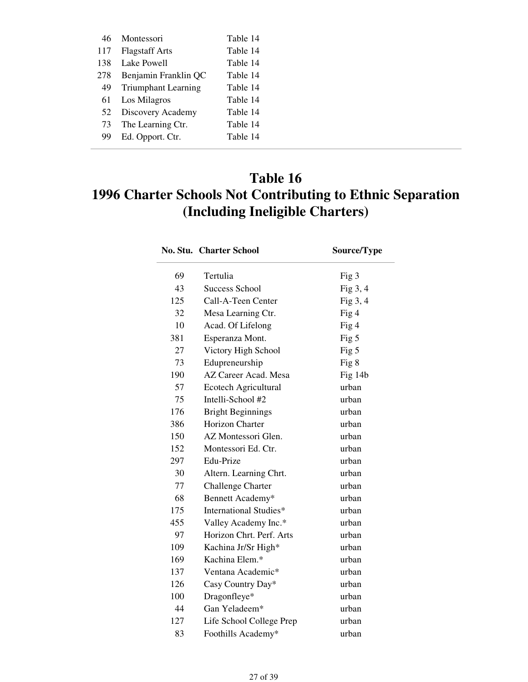| 46  | Montessori                 | Table 14 |
|-----|----------------------------|----------|
| 117 | <b>Flagstaff Arts</b>      | Table 14 |
| 138 | Lake Powell                | Table 14 |
| 278 | Benjamin Franklin QC       | Table 14 |
| 49  | <b>Triumphant Learning</b> | Table 14 |
| 61  | Los Milagros               | Table 14 |
| 52  | Discovery Academy          | Table 14 |
| 73  | The Learning Ctr.          | Table 14 |
| 99  | Ed. Opport. Ctr.           | Table 14 |

# **Table 16 1996 Charter Schools Not Contributing to Ethnic Separation (Including Ineligible Charters)**

|     | <b>No. Stu. Charter School</b> | Source/Type |
|-----|--------------------------------|-------------|
| 69  | Tertulia                       | Fig 3       |
| 43  | <b>Success School</b>          | Fig $3, 4$  |
| 125 | Call-A-Teen Center             | Fig 3, 4    |
| 32  | Mesa Learning Ctr.             | Fig 4       |
| 10  | Acad. Of Lifelong              | Fig 4       |
| 381 | Esperanza Mont.                | Fig $5$     |
| 27  | Victory High School            | Fig 5       |
| 73  | Edupreneurship                 | Fig 8       |
| 190 | AZ Career Acad. Mesa           | Fig 14b     |
| 57  | Ecotech Agricultural           | urban       |
| 75  | Intelli-School #2              | urban       |
| 176 | <b>Bright Beginnings</b>       | urban       |
| 386 | Horizon Charter                | urban       |
| 150 | AZ Montessori Glen.            | urban       |
| 152 | Montessori Ed. Ctr.            | urban       |
| 297 | Edu-Prize                      | urban       |
| 30  | Altern. Learning Chrt.         | urban       |
| 77  | Challenge Charter              | urban       |
| 68  | Bennett Academy*               | urban       |
| 175 | International Studies*         | urban       |
| 455 | Valley Academy Inc.*           | urban       |
| 97  | Horizon Chrt. Perf. Arts       | urban       |
| 109 | Kachina Jr/Sr High*            | urban       |
| 169 | Kachina Elem.*                 | urban       |
| 137 | Ventana Academic*              | urban       |
| 126 | Casy Country Day*              | urban       |
| 100 | Dragonfleye*                   | urban       |
| 44  | Gan Yeladeem*                  | urban       |
| 127 | Life School College Prep       | urban       |
| 83  | Foothills Academy*             | urban       |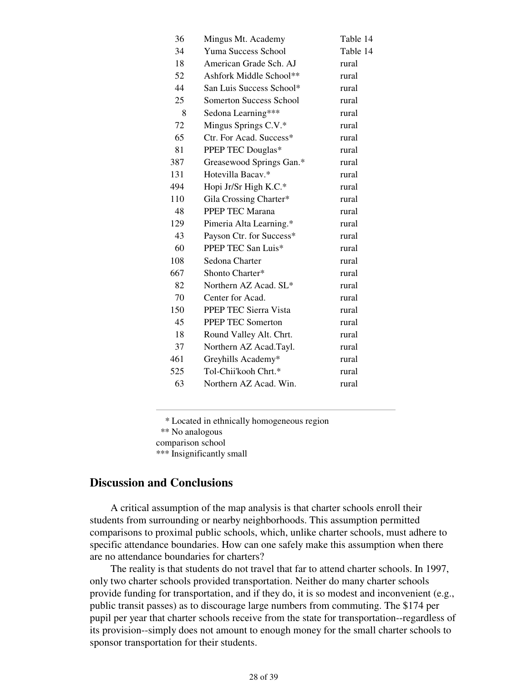| 36  | Mingus Mt. Academy       | Table 14 |
|-----|--------------------------|----------|
| 34  | Yuma Success School      | Table 14 |
| 18  | American Grade Sch. AJ   | rural    |
| 52  | Ashfork Middle School**  | rural    |
| 44  | San Luis Success School* | rural    |
| 25  | Somerton Success School  | rural    |
| 8   | Sedona Learning***       | rural    |
| 72  | Mingus Springs C.V.*     | rural    |
| 65  | Ctr. For Acad. Success*  | rural    |
| 81  | PPEP TEC Douglas*        | rural    |
| 387 | Greasewood Springs Gan.* | rural    |
| 131 | Hotevilla Bacav.*        | rural    |
| 494 | Hopi Jr/Sr High K.C.*    | rural    |
| 110 | Gila Crossing Charter*   | rural    |
| 48  | PPEP TEC Marana          | rural    |
| 129 | Pimeria Alta Learning.*  | rural    |
| 43  | Payson Ctr. for Success* | rural    |
| 60  | PPEP TEC San Luis*       | rural    |
| 108 | Sedona Charter           | rural    |
| 667 | Shonto Charter*          | rural    |
| 82  | Northern AZ Acad. SL*    | rural    |
| 70  | Center for Acad.         | rural    |
| 150 | PPEP TEC Sierra Vista    | rural    |
| 45  | <b>PPEP TEC Somerton</b> | rural    |
| 18  | Round Valley Alt. Chrt.  | rural    |
| 37  | Northern AZ Acad.Tayl.   | rural    |
| 461 | Greyhills Academy*       | rural    |
| 525 | Tol-Chii'kooh Chrt.*     | rural    |
| 63  | Northern AZ Acad. Win.   | rural    |
|     |                          |          |

\* Located in ethnically homogeneous region

\*\* No analogous

comparison school

\*\*\* Insignificantly small

## **Discussion and Conclusions**

 A critical assumption of the map analysis is that charter schools enroll their students from surrounding or nearby neighborhoods. This assumption permitted comparisons to proximal public schools, which, unlike charter schools, must adhere to specific attendance boundaries. How can one safely make this assumption when there are no attendance boundaries for charters?

 The reality is that students do not travel that far to attend charter schools. In 1997, only two charter schools provided transportation. Neither do many charter schools provide funding for transportation, and if they do, it is so modest and inconvenient (e.g., public transit passes) as to discourage large numbers from commuting. The \$174 per pupil per year that charter schools receive from the state for transportation--regardless of its provision--simply does not amount to enough money for the small charter schools to sponsor transportation for their students.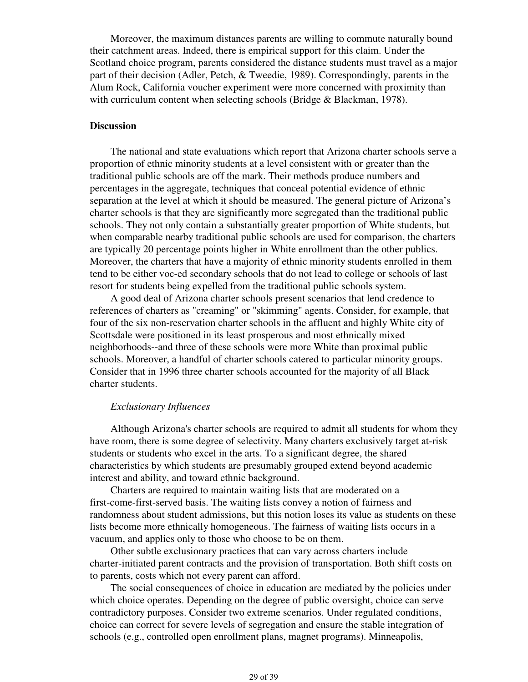Moreover, the maximum distances parents are willing to commute naturally bound their catchment areas. Indeed, there is empirical support for this claim. Under the Scotland choice program, parents considered the distance students must travel as a major part of their decision (Adler, Petch, & Tweedie, 1989). Correspondingly, parents in the Alum Rock, California voucher experiment were more concerned with proximity than with curriculum content when selecting schools (Bridge & Blackman, 1978).

#### **Discussion**

 The national and state evaluations which report that Arizona charter schools serve a proportion of ethnic minority students at a level consistent with or greater than the traditional public schools are off the mark. Their methods produce numbers and percentages in the aggregate, techniques that conceal potential evidence of ethnic separation at the level at which it should be measured. The general picture of Arizona's charter schools is that they are significantly more segregated than the traditional public schools. They not only contain a substantially greater proportion of White students, but when comparable nearby traditional public schools are used for comparison, the charters are typically 20 percentage points higher in White enrollment than the other publics. Moreover, the charters that have a majority of ethnic minority students enrolled in them tend to be either voc-ed secondary schools that do not lead to college or schools of last resort for students being expelled from the traditional public schools system.

 A good deal of Arizona charter schools present scenarios that lend credence to references of charters as "creaming" or "skimming" agents. Consider, for example, that four of the six non-reservation charter schools in the affluent and highly White city of Scottsdale were positioned in its least prosperous and most ethnically mixed neighborhoods--and three of these schools were more White than proximal public schools. Moreover, a handful of charter schools catered to particular minority groups. Consider that in 1996 three charter schools accounted for the majority of all Black charter students.

#### *Exclusionary Influences*

 Although Arizona's charter schools are required to admit all students for whom they have room, there is some degree of selectivity. Many charters exclusively target at-risk students or students who excel in the arts. To a significant degree, the shared characteristics by which students are presumably grouped extend beyond academic interest and ability, and toward ethnic background.

 Charters are required to maintain waiting lists that are moderated on a first-come-first-served basis. The waiting lists convey a notion of fairness and randomness about student admissions, but this notion loses its value as students on these lists become more ethnically homogeneous. The fairness of waiting lists occurs in a vacuum, and applies only to those who choose to be on them.

 Other subtle exclusionary practices that can vary across charters include charter-initiated parent contracts and the provision of transportation. Both shift costs on to parents, costs which not every parent can afford.

 The social consequences of choice in education are mediated by the policies under which choice operates. Depending on the degree of public oversight, choice can serve contradictory purposes. Consider two extreme scenarios. Under regulated conditions, choice can correct for severe levels of segregation and ensure the stable integration of schools (e.g., controlled open enrollment plans, magnet programs). Minneapolis,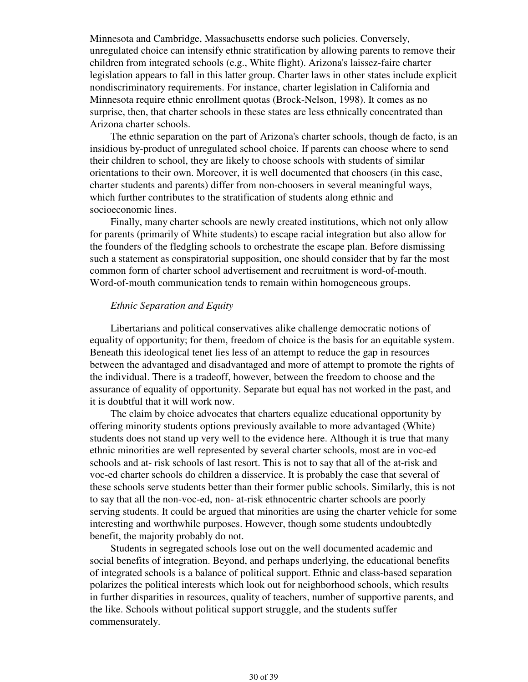Minnesota and Cambridge, Massachusetts endorse such policies. Conversely, unregulated choice can intensify ethnic stratification by allowing parents to remove their children from integrated schools (e.g., White flight). Arizona's laissez-faire charter legislation appears to fall in this latter group. Charter laws in other states include explicit nondiscriminatory requirements. For instance, charter legislation in California and Minnesota require ethnic enrollment quotas (Brock-Nelson, 1998). It comes as no surprise, then, that charter schools in these states are less ethnically concentrated than Arizona charter schools.

 The ethnic separation on the part of Arizona's charter schools, though de facto, is an insidious by-product of unregulated school choice. If parents can choose where to send their children to school, they are likely to choose schools with students of similar orientations to their own. Moreover, it is well documented that choosers (in this case, charter students and parents) differ from non-choosers in several meaningful ways, which further contributes to the stratification of students along ethnic and socioeconomic lines.

 Finally, many charter schools are newly created institutions, which not only allow for parents (primarily of White students) to escape racial integration but also allow for the founders of the fledgling schools to orchestrate the escape plan. Before dismissing such a statement as conspiratorial supposition, one should consider that by far the most common form of charter school advertisement and recruitment is word-of-mouth. Word-of-mouth communication tends to remain within homogeneous groups.

#### *Ethnic Separation and Equity*

 Libertarians and political conservatives alike challenge democratic notions of equality of opportunity; for them, freedom of choice is the basis for an equitable system. Beneath this ideological tenet lies less of an attempt to reduce the gap in resources between the advantaged and disadvantaged and more of attempt to promote the rights of the individual. There is a tradeoff, however, between the freedom to choose and the assurance of equality of opportunity. Separate but equal has not worked in the past, and it is doubtful that it will work now.

 The claim by choice advocates that charters equalize educational opportunity by offering minority students options previously available to more advantaged (White) students does not stand up very well to the evidence here. Although it is true that many ethnic minorities are well represented by several charter schools, most are in voc-ed schools and at- risk schools of last resort. This is not to say that all of the at-risk and voc-ed charter schools do children a disservice. It is probably the case that several of these schools serve students better than their former public schools. Similarly, this is not to say that all the non-voc-ed, non- at-risk ethnocentric charter schools are poorly serving students. It could be argued that minorities are using the charter vehicle for some interesting and worthwhile purposes. However, though some students undoubtedly benefit, the majority probably do not.

 Students in segregated schools lose out on the well documented academic and social benefits of integration. Beyond, and perhaps underlying, the educational benefits of integrated schools is a balance of political support. Ethnic and class-based separation polarizes the political interests which look out for neighborhood schools, which results in further disparities in resources, quality of teachers, number of supportive parents, and the like. Schools without political support struggle, and the students suffer commensurately.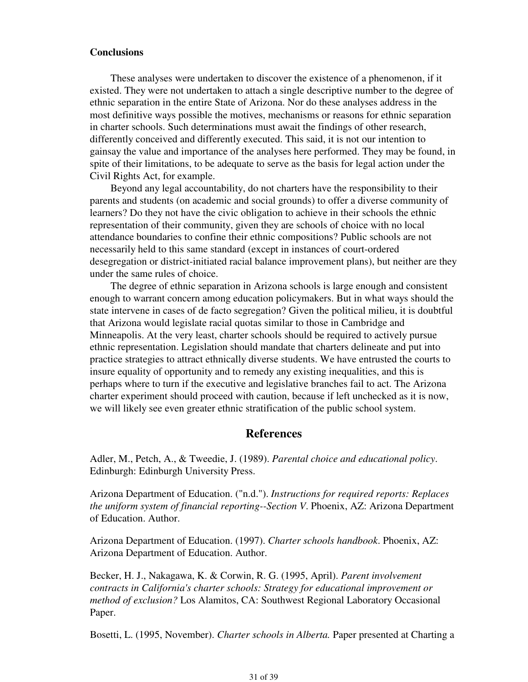#### **Conclusions**

 These analyses were undertaken to discover the existence of a phenomenon, if it existed. They were not undertaken to attach a single descriptive number to the degree of ethnic separation in the entire State of Arizona. Nor do these analyses address in the most definitive ways possible the motives, mechanisms or reasons for ethnic separation in charter schools. Such determinations must await the findings of other research, differently conceived and differently executed. This said, it is not our intention to gainsay the value and importance of the analyses here performed. They may be found, in spite of their limitations, to be adequate to serve as the basis for legal action under the Civil Rights Act, for example.

 Beyond any legal accountability, do not charters have the responsibility to their parents and students (on academic and social grounds) to offer a diverse community of learners? Do they not have the civic obligation to achieve in their schools the ethnic representation of their community, given they are schools of choice with no local attendance boundaries to confine their ethnic compositions? Public schools are not necessarily held to this same standard (except in instances of court-ordered desegregation or district-initiated racial balance improvement plans), but neither are they under the same rules of choice.

 The degree of ethnic separation in Arizona schools is large enough and consistent enough to warrant concern among education policymakers. But in what ways should the state intervene in cases of de facto segregation? Given the political milieu, it is doubtful that Arizona would legislate racial quotas similar to those in Cambridge and Minneapolis. At the very least, charter schools should be required to actively pursue ethnic representation. Legislation should mandate that charters delineate and put into practice strategies to attract ethnically diverse students. We have entrusted the courts to insure equality of opportunity and to remedy any existing inequalities, and this is perhaps where to turn if the executive and legislative branches fail to act. The Arizona charter experiment should proceed with caution, because if left unchecked as it is now, we will likely see even greater ethnic stratification of the public school system.

#### **References**

Adler, M., Petch, A., & Tweedie, J. (1989). *Parental choice and educational policy*. Edinburgh: Edinburgh University Press.

Arizona Department of Education. ("n.d."). *Instructions for required reports: Replaces the uniform system of financial reporting--Section V*. Phoenix, AZ: Arizona Department of Education. Author.

Arizona Department of Education. (1997). *Charter schools handbook*. Phoenix, AZ: Arizona Department of Education. Author.

Becker, H. J., Nakagawa, K. & Corwin, R. G. (1995, April). *Parent involvement contracts in California's charter schools: Strategy for educational improvement or method of exclusion?* Los Alamitos, CA: Southwest Regional Laboratory Occasional Paper.

Bosetti, L. (1995, November). *Charter schools in Alberta.* Paper presented at Charting a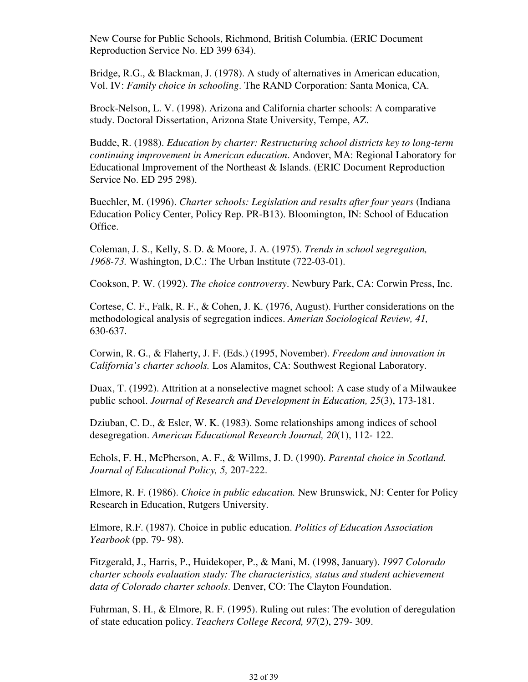New Course for Public Schools, Richmond, British Columbia. (ERIC Document Reproduction Service No. ED 399 634).

Bridge, R.G., & Blackman, J. (1978). A study of alternatives in American education, Vol. IV: *Family choice in schooling*. The RAND Corporation: Santa Monica, CA.

Brock-Nelson, L. V. (1998). Arizona and California charter schools: A comparative study. Doctoral Dissertation, Arizona State University, Tempe, AZ.

Budde, R. (1988). *Education by charter: Restructuring school districts key to long-term continuing improvement in American education*. Andover, MA: Regional Laboratory for Educational Improvement of the Northeast & Islands. (ERIC Document Reproduction Service No. ED 295 298).

Buechler, M. (1996). *Charter schools: Legislation and results after four years* (Indiana Education Policy Center, Policy Rep. PR-B13). Bloomington, IN: School of Education Office.

Coleman, J. S., Kelly, S. D. & Moore, J. A. (1975). *Trends in school segregation, 1968-73.* Washington, D.C.: The Urban Institute (722-03-01).

Cookson, P. W. (1992). *The choice controversy*. Newbury Park, CA: Corwin Press, Inc.

Cortese, C. F., Falk, R. F., & Cohen, J. K. (1976, August). Further considerations on the methodological analysis of segregation indices. *Amerian Sociological Review, 41,* 630-637.

Corwin, R. G., & Flaherty, J. F. (Eds.) (1995, November). *Freedom and innovation in California's charter schools.* Los Alamitos, CA: Southwest Regional Laboratory.

Duax, T. (1992). Attrition at a nonselective magnet school: A case study of a Milwaukee public school. *Journal of Research and Development in Education, 25*(3), 173-181.

Dziuban, C. D., & Esler, W. K. (1983). Some relationships among indices of school desegregation. *American Educational Research Journal, 20*(1), 112- 122.

Echols, F. H., McPherson, A. F., & Willms, J. D. (1990). *Parental choice in Scotland. Journal of Educational Policy, 5,* 207-222.

Elmore, R. F. (1986). *Choice in public education.* New Brunswick, NJ: Center for Policy Research in Education, Rutgers University.

Elmore, R.F. (1987). Choice in public education. *Politics of Education Association Yearbook* (pp. 79- 98).

Fitzgerald, J., Harris, P., Huidekoper, P., & Mani, M. (1998, January). *1997 Colorado charter schools evaluation study: The characteristics, status and student achievement data of Colorado charter schools*. Denver, CO: The Clayton Foundation.

Fuhrman, S. H., & Elmore, R. F. (1995). Ruling out rules: The evolution of deregulation of state education policy. *Teachers College Record, 97*(2), 279- 309.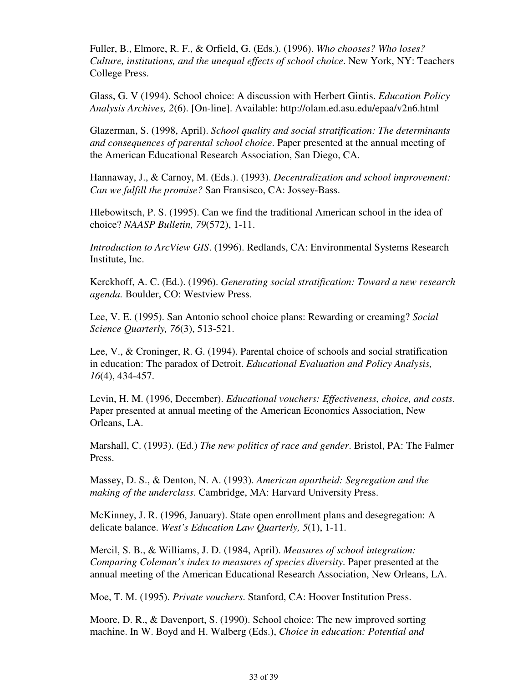Fuller, B., Elmore, R. F., & Orfield, G. (Eds.). (1996). *Who chooses? Who loses? Culture, institutions, and the unequal effects of school choice*. New York, NY: Teachers College Press.

Glass, G. V (1994). School choice: A discussion with Herbert Gintis. *Education Policy Analysis Archives, 2*(6). [On-line]. Available: http://olam.ed.asu.edu/epaa/v2n6.html

Glazerman, S. (1998, April). *School quality and social stratification: The determinants and consequences of parental school choice*. Paper presented at the annual meeting of the American Educational Research Association, San Diego, CA.

Hannaway, J., & Carnoy, M. (Eds.). (1993). *Decentralization and school improvement: Can we fulfill the promise?* San Fransisco, CA: Jossey-Bass.

Hlebowitsch, P. S. (1995). Can we find the traditional American school in the idea of choice? *NAASP Bulletin, 79*(572), 1-11.

*Introduction to ArcView GIS*. (1996). Redlands, CA: Environmental Systems Research Institute, Inc.

Kerckhoff, A. C. (Ed.). (1996). *Generating social stratification: Toward a new research agenda.* Boulder, CO: Westview Press.

Lee, V. E. (1995). San Antonio school choice plans: Rewarding or creaming? *Social Science Quarterly, 76*(3), 513-521.

Lee, V., & Croninger, R. G. (1994). Parental choice of schools and social stratification in education: The paradox of Detroit. *Educational Evaluation and Policy Analysis, 16*(4), 434-457.

Levin, H. M. (1996, December). *Educational vouchers: Effectiveness, choice, and costs*. Paper presented at annual meeting of the American Economics Association, New Orleans, LA.

Marshall, C. (1993). (Ed.) *The new politics of race and gender*. Bristol, PA: The Falmer Press.

Massey, D. S., & Denton, N. A. (1993). *American apartheid: Segregation and the making of the underclass*. Cambridge, MA: Harvard University Press.

McKinney, J. R. (1996, January). State open enrollment plans and desegregation: A delicate balance. *West's Education Law Quarterly, 5*(1), 1-11.

Mercil, S. B., & Williams, J. D. (1984, April). *Measures of school integration: Comparing Coleman's index to measures of species diversity*. Paper presented at the annual meeting of the American Educational Research Association, New Orleans, LA.

Moe, T. M. (1995). *Private vouchers*. Stanford, CA: Hoover Institution Press.

Moore, D. R., & Davenport, S. (1990). School choice: The new improved sorting machine. In W. Boyd and H. Walberg (Eds.), *Choice in education: Potential and*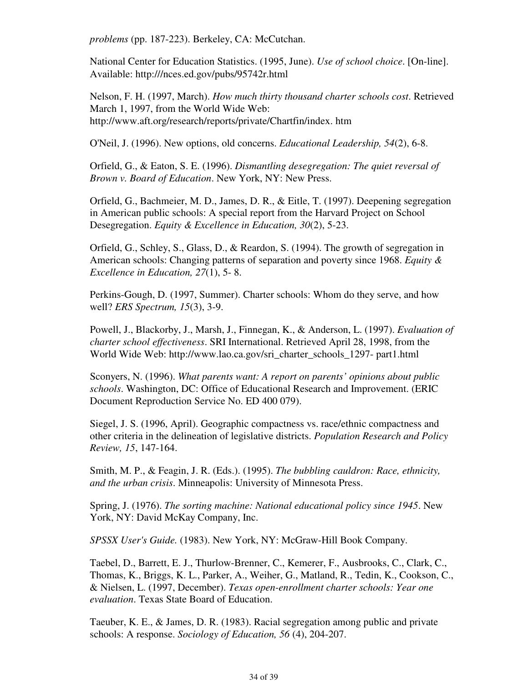*problems* (pp. 187-223). Berkeley, CA: McCutchan.

National Center for Education Statistics. (1995, June). *Use of school choice*. [On-line]. Available: http:///nces.ed.gov/pubs/95742r.html

Nelson, F. H. (1997, March). *How much thirty thousand charter schools cost*. Retrieved March 1, 1997, from the World Wide Web: http://www.aft.org/research/reports/private/Chartfin/index. htm

O'Neil, J. (1996). New options, old concerns. *Educational Leadership, 54*(2), 6-8.

Orfield, G., & Eaton, S. E. (1996). *Dismantling desegregation: The quiet reversal of Brown v. Board of Education*. New York, NY: New Press.

Orfield, G., Bachmeier, M. D., James, D. R., & Eitle, T. (1997). Deepening segregation in American public schools: A special report from the Harvard Project on School Desegregation. *Equity & Excellence in Education, 30*(2), 5-23.

Orfield, G., Schley, S., Glass, D., & Reardon, S. (1994). The growth of segregation in American schools: Changing patterns of separation and poverty since 1968. *Equity & Excellence in Education, 27*(1), 5- 8.

Perkins-Gough, D. (1997, Summer). Charter schools: Whom do they serve, and how well? *ERS Spectrum, 15*(3), 3-9.

Powell, J., Blackorby, J., Marsh, J., Finnegan, K., & Anderson, L. (1997). *Evaluation of charter school effectiveness*. SRI International. Retrieved April 28, 1998, from the World Wide Web: http://www.lao.ca.gov/sri\_charter\_schools\_1297- part1.html

Sconyers, N. (1996). *What parents want: A report on parents' opinions about public schools*. Washington, DC: Office of Educational Research and Improvement. (ERIC Document Reproduction Service No. ED 400 079).

Siegel, J. S. (1996, April). Geographic compactness vs. race/ethnic compactness and other criteria in the delineation of legislative districts. *Population Research and Policy Review, 15*, 147-164.

Smith, M. P., & Feagin, J. R. (Eds.). (1995). *The bubbling cauldron: Race, ethnicity, and the urban crisis*. Minneapolis: University of Minnesota Press.

Spring, J. (1976). *The sorting machine: National educational policy since 1945*. New York, NY: David McKay Company, Inc.

*SPSSX User's Guide.* (1983). New York, NY: McGraw-Hill Book Company.

Taebel, D., Barrett, E. J., Thurlow-Brenner, C., Kemerer, F., Ausbrooks, C., Clark, C., Thomas, K., Briggs, K. L., Parker, A., Weiher, G., Matland, R., Tedin, K., Cookson, C., & Nielsen, L. (1997, December). *Texas open-enrollment charter schools: Year one evaluation*. Texas State Board of Education.

Taeuber, K. E., & James, D. R. (1983). Racial segregation among public and private schools: A response. *Sociology of Education, 56* (4), 204-207.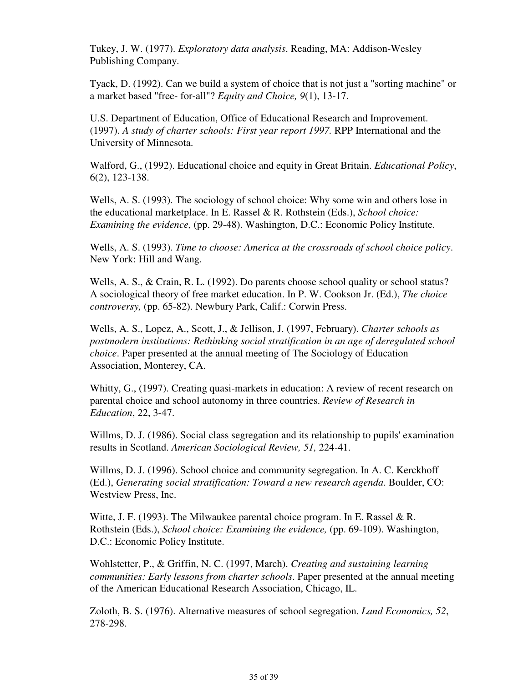Tukey, J. W. (1977). *Exploratory data analysis*. Reading, MA: Addison-Wesley Publishing Company.

Tyack, D. (1992). Can we build a system of choice that is not just a "sorting machine" or a market based "free- for-all"? *Equity and Choice, 9*(1), 13-17.

U.S. Department of Education, Office of Educational Research and Improvement. (1997). *A study of charter schools: First year report 1997.* RPP International and the University of Minnesota.

Walford, G., (1992). Educational choice and equity in Great Britain. *Educational Policy*, 6(2), 123-138.

Wells, A. S. (1993). The sociology of school choice: Why some win and others lose in the educational marketplace. In E. Rassel & R. Rothstein (Eds.), *School choice: Examining the evidence,* (pp. 29-48). Washington, D.C.: Economic Policy Institute.

Wells, A. S. (1993). *Time to choose: America at the crossroads of school choice policy*. New York: Hill and Wang.

Wells, A. S., & Crain, R. L. (1992). Do parents choose school quality or school status? A sociological theory of free market education. In P. W. Cookson Jr. (Ed.), *The choice controversy,* (pp. 65-82). Newbury Park, Calif.: Corwin Press.

Wells, A. S., Lopez, A., Scott, J., & Jellison, J. (1997, February). *Charter schools as postmodern institutions: Rethinking social stratification in an age of deregulated school choice*. Paper presented at the annual meeting of The Sociology of Education Association, Monterey, CA.

Whitty, G., (1997). Creating quasi-markets in education: A review of recent research on parental choice and school autonomy in three countries. *Review of Research in Education*, 22, 3-47.

Willms, D. J. (1986). Social class segregation and its relationship to pupils' examination results in Scotland. *American Sociological Review, 51,* 224-41.

Willms, D. J. (1996). School choice and community segregation. In A. C. Kerckhoff (Ed.), *Generating social stratification: Toward a new research agenda*. Boulder, CO: Westview Press, Inc.

Witte, J. F. (1993). The Milwaukee parental choice program. In E. Rassel & R. Rothstein (Eds.), *School choice: Examining the evidence,* (pp. 69-109). Washington, D.C.: Economic Policy Institute.

Wohlstetter, P., & Griffin, N. C. (1997, March). *Creating and sustaining learning communities: Early lessons from charter schools*. Paper presented at the annual meeting of the American Educational Research Association, Chicago, IL.

Zoloth, B. S. (1976). Alternative measures of school segregation. *Land Economics, 52*, 278-298.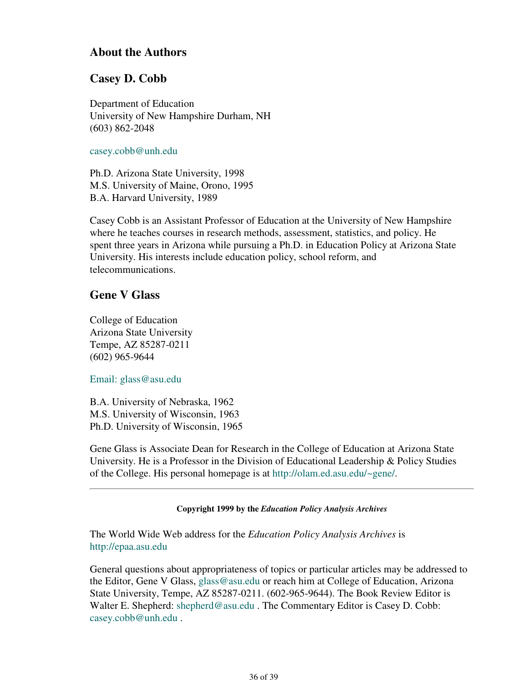## **About the Authors**

## **Casey D. Cobb**

Department of Education University of New Hampshire Durham, NH (603) 862-2048

### casey.cobb@unh.edu

Ph.D. Arizona State University, 1998 M.S. University of Maine, Orono, 1995 B.A. Harvard University, 1989

Casey Cobb is an Assistant Professor of Education at the University of New Hampshire where he teaches courses in research methods, assessment, statistics, and policy. He spent three years in Arizona while pursuing a Ph.D. in Education Policy at Arizona State University. His interests include education policy, school reform, and telecommunications.

## **Gene V Glass**

College of Education Arizona State University Tempe, AZ 85287-0211 (602) 965-9644

Email: glass@asu.edu

B.A. University of Nebraska, 1962 M.S. University of Wisconsin, 1963 Ph.D. University of Wisconsin, 1965

Gene Glass is Associate Dean for Research in the College of Education at Arizona State University. He is a Professor in the Division of Educational Leadership & Policy Studies of the College. His personal homepage is at http://olam.ed.asu.edu/~gene/.

### **Copyright 1999 by the** *Education Policy Analysis Archives*

The World Wide Web address for the *Education Policy Analysis Archives* is http://epaa.asu.edu

General questions about appropriateness of topics or particular articles may be addressed to the Editor, Gene V Glass, glass@asu.edu or reach him at College of Education, Arizona State University, Tempe, AZ 85287-0211. (602-965-9644). The Book Review Editor is Walter E. Shepherd: shepherd@asu.edu. The Commentary Editor is Casey D. Cobb: casey.cobb@unh.edu .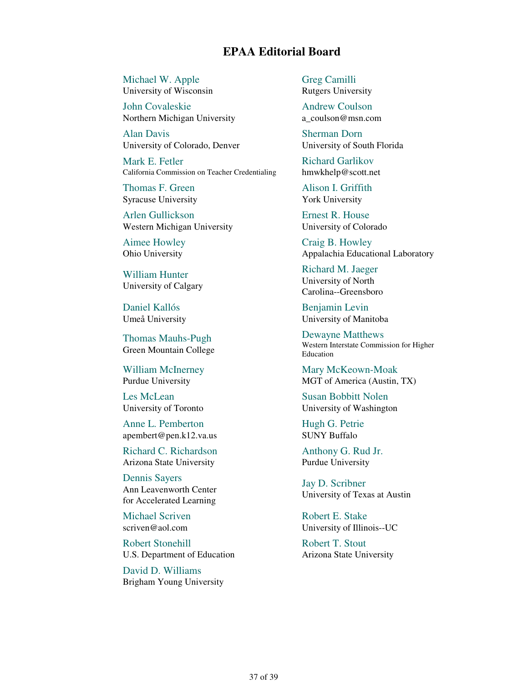## **EPAA Editorial Board**

Michael W. Apple University of Wisconsin

John Covaleskie Northern Michigan University

Alan Davis University of Colorado, Denver

Mark E. Fetler California Commission on Teacher Credentialing

Thomas F. Green Syracuse University

Arlen Gullickson Western Michigan University

Aimee Howley Ohio University

William Hunter University of Calgary

Daniel Kallós Umeå University

Thomas Mauhs-Pugh Green Mountain College

William McInerney Purdue University

Les McLean University of Toronto

Anne L. Pemberton apembert@pen.k12.va.us

Richard C. Richardson Arizona State University

Dennis Sayers Ann Leavenworth Center for Accelerated Learning

Michael Scriven scriven@aol.com

Robert Stonehill U.S. Department of Education

David D. Williams Brigham Young University Greg Camilli Rutgers University

Andrew Coulson a\_coulson@msn.com

Sherman Dorn University of South Florida

Richard Garlikov hmwkhelp@scott.net

Alison I. Griffith York University

Ernest R. House University of Colorado

Craig B. Howley Appalachia Educational Laboratory

Richard M. Jaeger University of North Carolina--Greensboro

Benjamin Levin University of Manitoba

Dewayne Matthews Western Interstate Commission for Higher Education

Mary McKeown-Moak MGT of America (Austin, TX)

Susan Bobbitt Nolen University of Washington

Hugh G. Petrie SUNY Buffalo

Anthony G. Rud Jr. Purdue University

Jay D. Scribner University of Texas at Austin

Robert E. Stake University of Illinois--UC

Robert T. Stout Arizona State University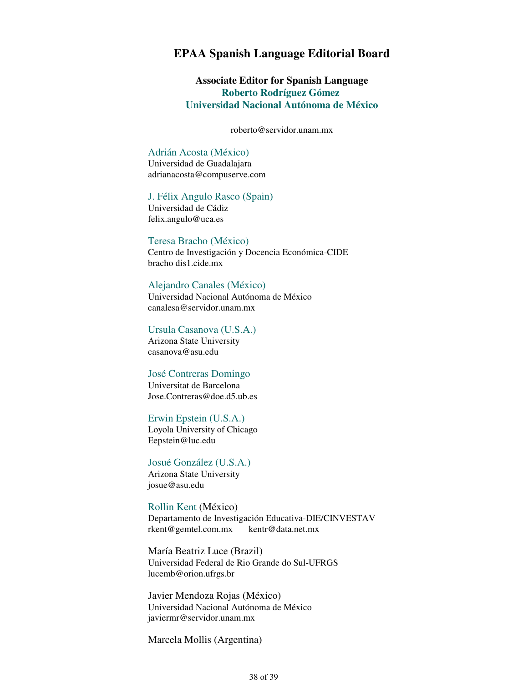## **EPAA Spanish Language Editorial Board**

**Associate Editor for Spanish Language Roberto Rodríguez Gómez Universidad Nacional Autónoma de México**

roberto@servidor.unam.mx

#### Adrián Acosta (México)

Universidad de Guadalajara adrianacosta@compuserve.com

#### J. Félix Angulo Rasco (Spain)

Universidad de Cádiz felix.angulo@uca.es

#### Teresa Bracho (México)

Centro de Investigación y Docencia Económica-CIDE bracho dis1.cide.mx

### Alejandro Canales (México)

Universidad Nacional Autónoma de México canalesa@servidor.unam.mx

#### Ursula Casanova (U.S.A.)

Arizona State University casanova@asu.edu

#### José Contreras Domingo

Universitat de Barcelona Jose.Contreras@doe.d5.ub.es

#### Erwin Epstein (U.S.A.)

Loyola University of Chicago Eepstein@luc.edu

#### Josué González (U.S.A.) Arizona State University josue@asu.edu

Rollin Kent (México) Departamento de Investigación Educativa-DIE/CINVESTAV rkent@gemtel.com.mx kentr@data.net.mx

María Beatriz Luce (Brazil) Universidad Federal de Rio Grande do Sul-UFRGS lucemb@orion.ufrgs.br

Javier Mendoza Rojas (México) Universidad Nacional Autónoma de México javiermr@servidor.unam.mx

Marcela Mollis (Argentina)